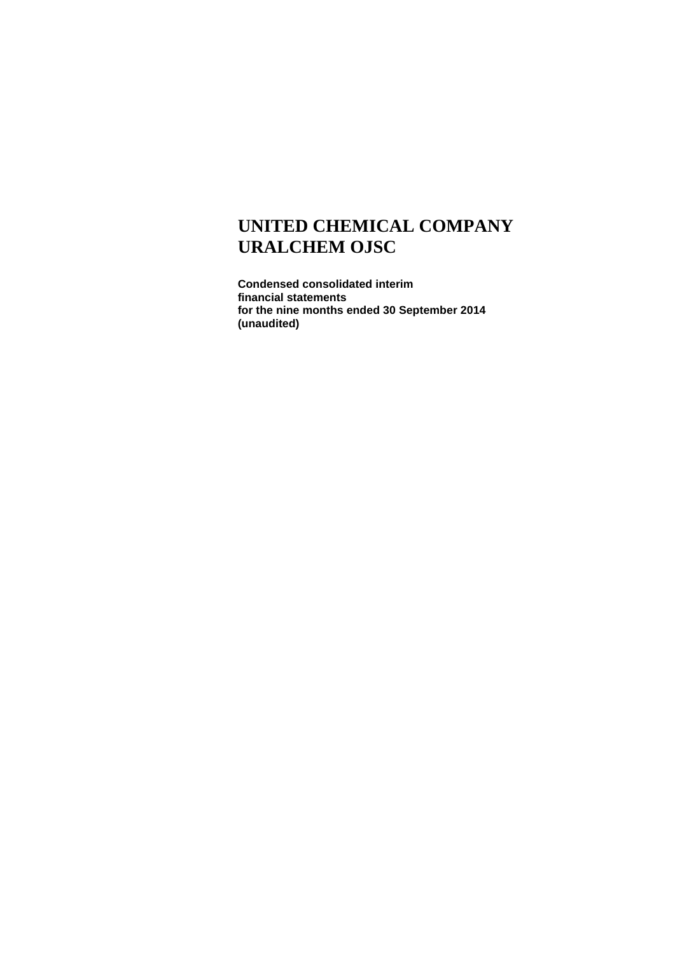**Condensed consolidated interim financial statements for the nine months ended 30 September 2014 (unaudited)**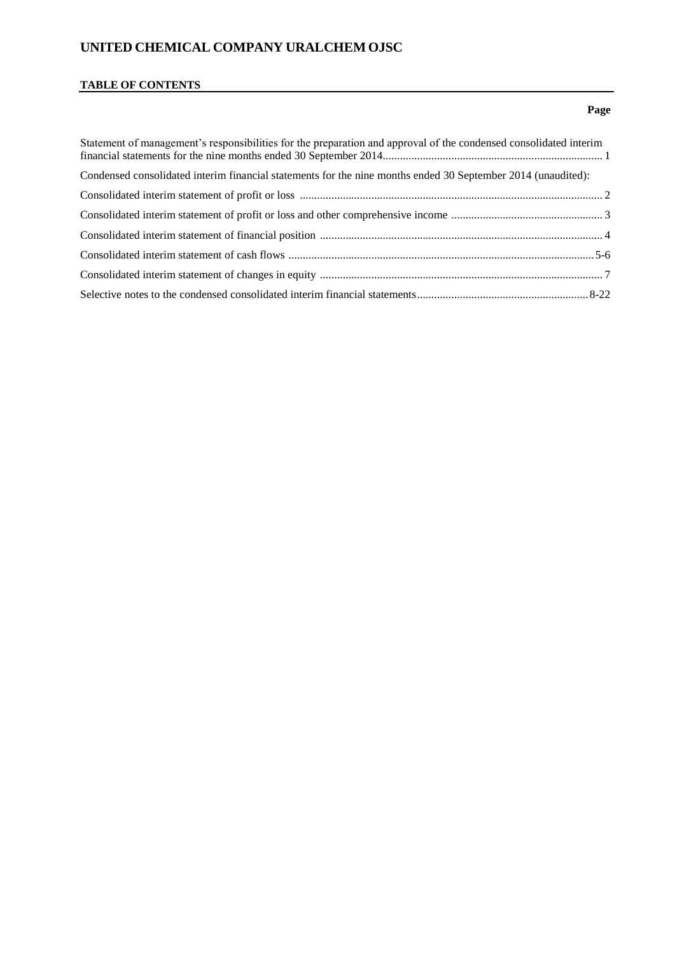## **TABLE OF CONTENTS**

## **Page**

| Statement of management's responsibilities for the preparation and approval of the condensed consolidated interim |  |
|-------------------------------------------------------------------------------------------------------------------|--|
| Condensed consolidated interim financial statements for the nine months ended 30 September 2014 (unaudited):      |  |
|                                                                                                                   |  |
|                                                                                                                   |  |
|                                                                                                                   |  |
|                                                                                                                   |  |
|                                                                                                                   |  |
|                                                                                                                   |  |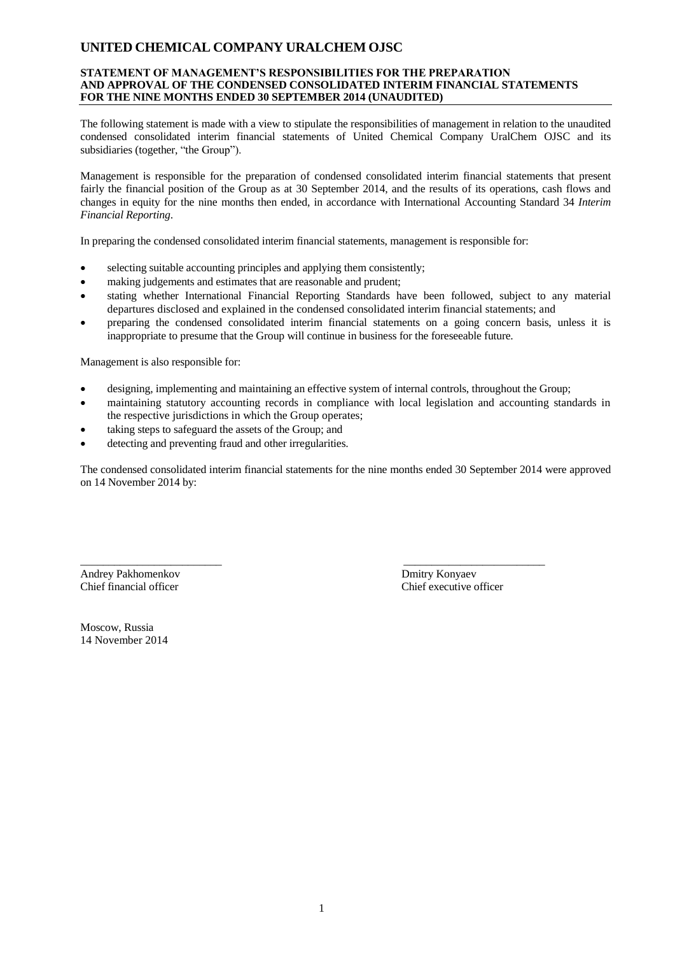### **STATEMENT OF MANAGEMENT'S RESPONSIBILITIES FOR THE PREPARATION AND APPROVAL OF THE CONDENSED CONSOLIDATED INTERIM FINANCIAL STATEMENTS FOR THE NINE MONTHS ENDED 30 SEPTEMBER 2014 (UNAUDITED)**

The following statement is made with a view to stipulate the responsibilities of management in relation to the unaudited condensed consolidated interim financial statements of United Chemical Company UralChem OJSC and its subsidiaries (together, "the Group").

Management is responsible for the preparation of condensed consolidated interim financial statements that present fairly the financial position of the Group as at 30 September 2014, and the results of its operations, cash flows and changes in equity for the nine months then ended, in accordance with International Accounting Standard 34 *Interim Financial Reporting*.

In preparing the condensed consolidated interim financial statements, management is responsible for:

- selecting suitable accounting principles and applying them consistently;
- making judgements and estimates that are reasonable and prudent;
- stating whether International Financial Reporting Standards have been followed, subject to any material departures disclosed and explained in the condensed consolidated interim financial statements; and
- preparing the condensed consolidated interim financial statements on a going concern basis, unless it is inappropriate to presume that the Group will continue in business for the foreseeable future.

Management is also responsible for:

- designing, implementing and maintaining an effective system of internal controls, throughout the Group;
- maintaining statutory accounting records in compliance with local legislation and accounting standards in the respective jurisdictions in which the Group operates;
- taking steps to safeguard the assets of the Group; and
- detecting and preventing fraud and other irregularities.

The condensed consolidated interim financial statements for the nine months ended 30 September 2014 were approved on 14 November 2014 by:

\_\_\_\_\_\_\_\_\_\_\_\_\_\_\_\_\_\_\_\_\_\_\_\_\_ \_\_\_\_\_\_\_\_\_\_\_\_\_\_\_\_\_\_\_\_\_\_\_\_\_ Andrey Pakhomenkov Dmitry Konyaev

Chief financial officer Chief executive officer

Moscow, Russia 14 November 2014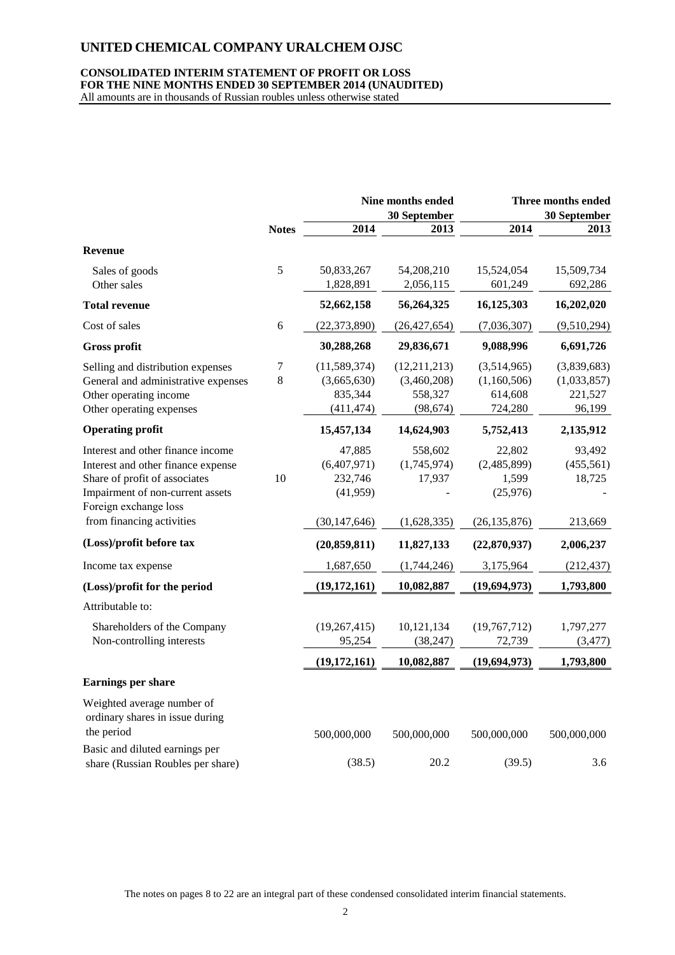## **CONSOLIDATED INTERIM STATEMENT OF PROFIT OR LOSS FOR THE NINE MONTHS ENDED 30 SEPTEMBER 2014 (UNAUDITED)**

All amounts are in thousands of Russian roubles unless otherwise stated

|                                                                                                                                                                                                    |              |                                                                | Nine months ended<br>30 September                   |                                                              | Three months ended<br>30 September              |
|----------------------------------------------------------------------------------------------------------------------------------------------------------------------------------------------------|--------------|----------------------------------------------------------------|-----------------------------------------------------|--------------------------------------------------------------|-------------------------------------------------|
|                                                                                                                                                                                                    | <b>Notes</b> | 2014                                                           | 2013                                                | 2014                                                         | 2013                                            |
| Revenue                                                                                                                                                                                            |              |                                                                |                                                     |                                                              |                                                 |
| Sales of goods<br>Other sales                                                                                                                                                                      | 5            | 50,833,267<br>1,828,891                                        | 54,208,210<br>2,056,115                             | 15,524,054<br>601,249                                        | 15,509,734<br>692,286                           |
| <b>Total revenue</b>                                                                                                                                                                               |              | 52,662,158                                                     | 56,264,325                                          | 16,125,303                                                   | 16,202,020                                      |
| Cost of sales                                                                                                                                                                                      | 6            | (22, 373, 890)                                                 | (26, 427, 654)                                      | (7,036,307)                                                  | (9,510,294)                                     |
| <b>Gross profit</b>                                                                                                                                                                                |              | 30,288,268                                                     | 29,836,671                                          | 9,088,996                                                    | 6,691,726                                       |
| Selling and distribution expenses<br>General and administrative expenses<br>Other operating income<br>Other operating expenses                                                                     | 7<br>$\,8\,$ | (11,589,374)<br>(3,665,630)<br>835,344<br>(411, 474)           | (12,211,213)<br>(3,460,208)<br>558,327<br>(98, 674) | (3,514,965)<br>(1,160,506)<br>614,608<br>724,280             | (3,839,683)<br>(1,033,857)<br>221,527<br>96,199 |
| <b>Operating profit</b>                                                                                                                                                                            |              | 15,457,134                                                     | 14,624,903                                          | 5,752,413                                                    | 2,135,912                                       |
| Interest and other finance income<br>Interest and other finance expense<br>Share of profit of associates<br>Impairment of non-current assets<br>Foreign exchange loss<br>from financing activities | 10           | 47,885<br>(6,407,971)<br>232,746<br>(41,959)<br>(30, 147, 646) | 558,602<br>(1,745,974)<br>17,937<br>(1,628,335)     | 22,802<br>(2,485,899)<br>1,599<br>(25,976)<br>(26, 135, 876) | 93,492<br>(455, 561)<br>18,725<br>213,669       |
| (Loss)/profit before tax                                                                                                                                                                           |              | (20, 859, 811)                                                 | 11,827,133                                          | (22,870,937)                                                 | 2,006,237                                       |
| Income tax expense                                                                                                                                                                                 |              | 1,687,650                                                      | (1,744,246)                                         | 3,175,964                                                    | (212, 437)                                      |
| (Loss)/profit for the period                                                                                                                                                                       |              | (19, 172, 161)                                                 | 10,082,887                                          | (19, 694, 973)                                               | 1,793,800                                       |
| Attributable to:                                                                                                                                                                                   |              |                                                                |                                                     |                                                              |                                                 |
| Shareholders of the Company<br>Non-controlling interests                                                                                                                                           |              | (19, 267, 415)<br>95,254                                       | 10,121,134<br>(38, 247)                             | (19,767,712)<br>72,739                                       | 1,797,277<br>(3, 477)                           |
|                                                                                                                                                                                                    |              | (19, 172, 161)                                                 | 10,082,887                                          | (19, 694, 973)                                               | 1,793,800                                       |
| Earnings per share                                                                                                                                                                                 |              |                                                                |                                                     |                                                              |                                                 |
| Weighted average number of<br>ordinary shares in issue during<br>the period                                                                                                                        |              | 500,000,000                                                    | 500,000,000                                         | 500,000,000                                                  | 500,000,000                                     |
| Basic and diluted earnings per<br>share (Russian Roubles per share)                                                                                                                                |              | (38.5)                                                         | 20.2                                                | (39.5)                                                       | 3.6                                             |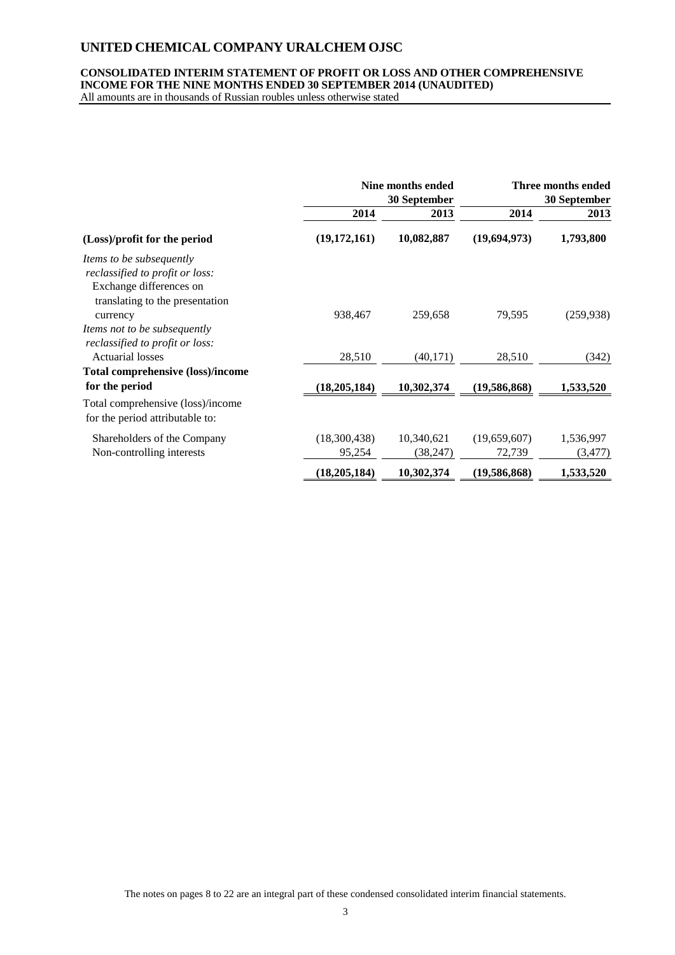## **CONSOLIDATED INTERIM STATEMENT OF PROFIT OR LOSS AND OTHER COMPREHENSIVE INCOME FOR THE NINE MONTHS ENDED 30 SEPTEMBER 2014 (UNAUDITED)**

All amounts are in thousands of Russian roubles unless otherwise stated

|                                                                                                                           | Nine months ended<br>30 September |                         | Three months ended<br>30 September |                       |
|---------------------------------------------------------------------------------------------------------------------------|-----------------------------------|-------------------------|------------------------------------|-----------------------|
|                                                                                                                           | 2014                              | 2013                    | 2014                               | 2013                  |
| (Loss)/profit for the period                                                                                              | (19, 172, 161)                    | 10,082,887              | (19,694,973)                       | 1,793,800             |
| Items to be subsequently<br>reclassified to profit or loss:<br>Exchange differences on<br>translating to the presentation |                                   |                         |                                    |                       |
| currency<br>Items not to be subsequently<br>reclassified to profit or loss:                                               | 938,467                           | 259,658                 | 79,595                             | (259, 938)            |
| <b>Actuarial losses</b>                                                                                                   | 28,510                            | (40, 171)               | 28,510                             | (342)                 |
| <b>Total comprehensive (loss)/income</b>                                                                                  |                                   |                         |                                    |                       |
| for the period                                                                                                            | (18, 205, 184)                    | 10,302,374              | (19,586,868)                       | 1,533,520             |
| Total comprehensive (loss)/income<br>for the period attributable to:                                                      |                                   |                         |                                    |                       |
| Shareholders of the Company<br>Non-controlling interests                                                                  | (18,300,438)<br>95,254            | 10,340,621<br>(38, 247) | (19,659,607)<br>72,739             | 1,536,997<br>(3, 477) |
|                                                                                                                           | (18, 205, 184)                    | 10,302,374              | (19, 586, 868)                     | 1,533,520             |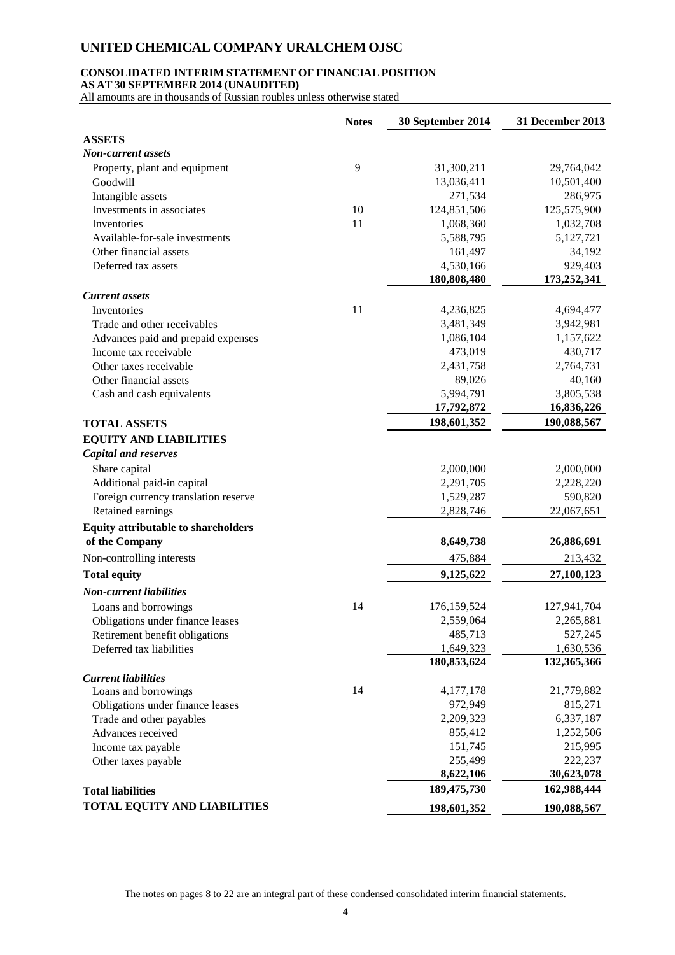### **CONSOLIDATED INTERIM STATEMENT OF FINANCIAL POSITION**

**AS AT 30 SEPTEMBER 2014 (UNAUDITED)**

All amounts are in thousands of Russian roubles unless otherwise stated

|                                            | <b>Notes</b> | 30 September 2014 | 31 December 2013 |
|--------------------------------------------|--------------|-------------------|------------------|
| <b>ASSETS</b>                              |              |                   |                  |
| Non-current assets                         |              |                   |                  |
| Property, plant and equipment              | 9            | 31,300,211        | 29,764,042       |
| Goodwill                                   |              | 13,036,411        | 10,501,400       |
| Intangible assets                          |              | 271,534           | 286,975          |
| Investments in associates                  | 10           | 124,851,506       | 125,575,900      |
| Inventories                                | 11           | 1,068,360         | 1,032,708        |
| Available-for-sale investments             |              | 5,588,795         | 5,127,721        |
| Other financial assets                     |              | 161,497           | 34,192           |
| Deferred tax assets                        |              | 4,530,166         | 929,403          |
|                                            |              | 180,808,480       | 173,252,341      |
| <b>Current</b> assets                      |              |                   |                  |
| Inventories                                | 11           | 4,236,825         | 4,694,477        |
| Trade and other receivables                |              | 3,481,349         | 3,942,981        |
| Advances paid and prepaid expenses         |              | 1,086,104         | 1,157,622        |
| Income tax receivable                      |              | 473,019           | 430,717          |
| Other taxes receivable                     |              | 2,431,758         | 2,764,731        |
| Other financial assets                     |              | 89,026            | 40,160           |
| Cash and cash equivalents                  |              | 5,994,791         | 3,805,538        |
|                                            |              | 17,792,872        | 16,836,226       |
| <b>TOTAL ASSETS</b>                        |              | 198,601,352       | 190,088,567      |
| <b>EQUITY AND LIABILITIES</b>              |              |                   |                  |
| <b>Capital and reserves</b>                |              |                   |                  |
| Share capital                              |              | 2,000,000         | 2,000,000        |
| Additional paid-in capital                 |              | 2,291,705         | 2,228,220        |
| Foreign currency translation reserve       |              | 1,529,287         | 590,820          |
| Retained earnings                          |              | 2,828,746         | 22,067,651       |
| <b>Equity attributable to shareholders</b> |              |                   |                  |
| of the Company                             |              | 8,649,738         | 26,886,691       |
| Non-controlling interests                  |              | 475,884           | 213,432          |
| <b>Total equity</b>                        |              | 9,125,622         | 27,100,123       |
| <b>Non-current liabilities</b>             |              |                   |                  |
| Loans and borrowings                       | 14           | 176,159,524       | 127,941,704      |
| Obligations under finance leases           |              | 2,559,064         | 2,265,881        |
| Retirement benefit obligations             |              | 485,713           | 527,245          |
| Deferred tax liabilities                   |              | 1,649,323         | 1,630,536        |
|                                            |              | 180,853,624       | 132,365,366      |
| <b>Current liabilities</b>                 |              |                   |                  |
| Loans and borrowings                       | 14           | 4,177,178         | 21,779,882       |
| Obligations under finance leases           |              | 972,949           | 815,271          |
| Trade and other payables                   |              | 2,209,323         | 6,337,187        |
| Advances received                          |              | 855,412           | 1,252,506        |
| Income tax payable                         |              | 151,745           | 215,995          |
| Other taxes payable                        |              | 255,499           | 222,237          |
|                                            |              | 8,622,106         | 30,623,078       |
| <b>Total liabilities</b>                   |              | 189, 475, 730     | 162,988,444      |
| <b>TOTAL EQUITY AND LIABILITIES</b>        |              | 198,601,352       | 190,088,567      |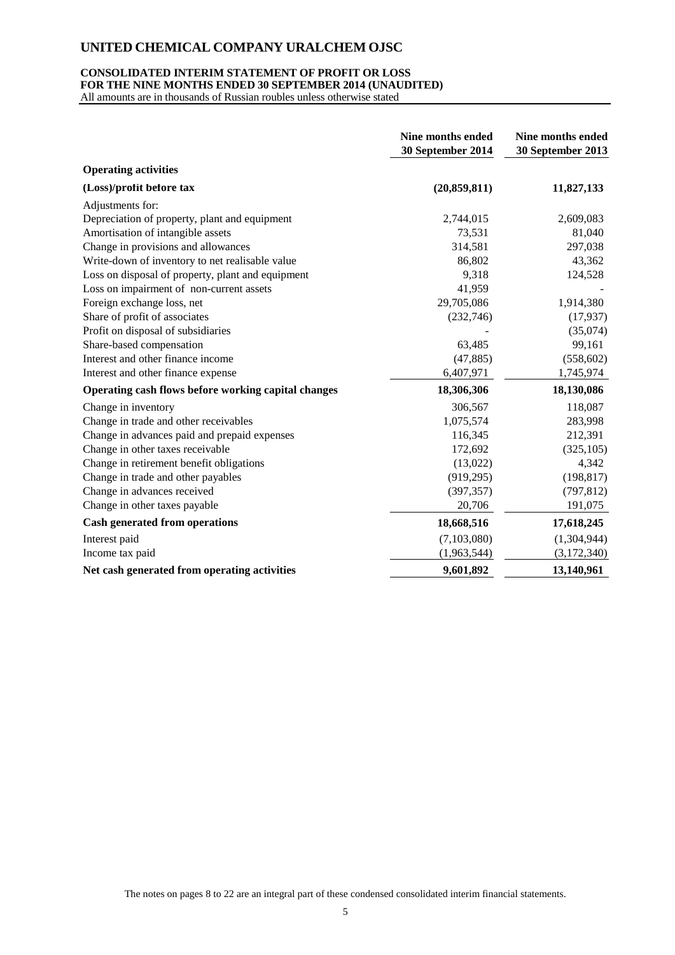### **CONSOLIDATED INTERIM STATEMENT OF PROFIT OR LOSS FOR THE NINE MONTHS ENDED 30 SEPTEMBER 2014 (UNAUDITED)**

All amounts are in thousands of Russian roubles unless otherwise stated

|                                                     | <b>Nine months ended</b><br>30 September 2014 | Nine months ended<br>30 September 2013 |
|-----------------------------------------------------|-----------------------------------------------|----------------------------------------|
| <b>Operating activities</b>                         |                                               |                                        |
| (Loss)/profit before tax                            | (20, 859, 811)                                | 11,827,133                             |
| Adjustments for:                                    |                                               |                                        |
| Depreciation of property, plant and equipment       | 2,744,015                                     | 2,609,083                              |
| Amortisation of intangible assets                   | 73,531                                        | 81,040                                 |
| Change in provisions and allowances                 | 314,581                                       | 297,038                                |
| Write-down of inventory to net realisable value     | 86,802                                        | 43,362                                 |
| Loss on disposal of property, plant and equipment   | 9,318                                         | 124,528                                |
| Loss on impairment of non-current assets            | 41,959                                        |                                        |
| Foreign exchange loss, net                          | 29,705,086                                    | 1,914,380                              |
| Share of profit of associates                       | (232,746)                                     | (17, 937)                              |
| Profit on disposal of subsidiaries                  |                                               | (35,074)                               |
| Share-based compensation                            | 63,485                                        | 99,161                                 |
| Interest and other finance income                   | (47, 885)                                     | (558, 602)                             |
| Interest and other finance expense                  | 6,407,971                                     | 1,745,974                              |
| Operating cash flows before working capital changes | 18,306,306                                    | 18,130,086                             |
| Change in inventory                                 | 306,567                                       | 118,087                                |
| Change in trade and other receivables               | 1,075,574                                     | 283,998                                |
| Change in advances paid and prepaid expenses        | 116,345                                       | 212,391                                |
| Change in other taxes receivable                    | 172,692                                       | (325, 105)                             |
| Change in retirement benefit obligations            | (13,022)                                      | 4,342                                  |
| Change in trade and other payables                  | (919, 295)                                    | (198, 817)                             |
| Change in advances received                         | (397, 357)                                    | (797, 812)                             |
| Change in other taxes payable                       | 20,706                                        | 191,075                                |
| <b>Cash generated from operations</b>               | 18,668,516                                    | 17,618,245                             |
| Interest paid                                       | (7,103,080)                                   | (1,304,944)                            |
| Income tax paid                                     | (1,963,544)                                   | (3,172,340)                            |
| Net cash generated from operating activities        | 9,601,892                                     | 13,140,961                             |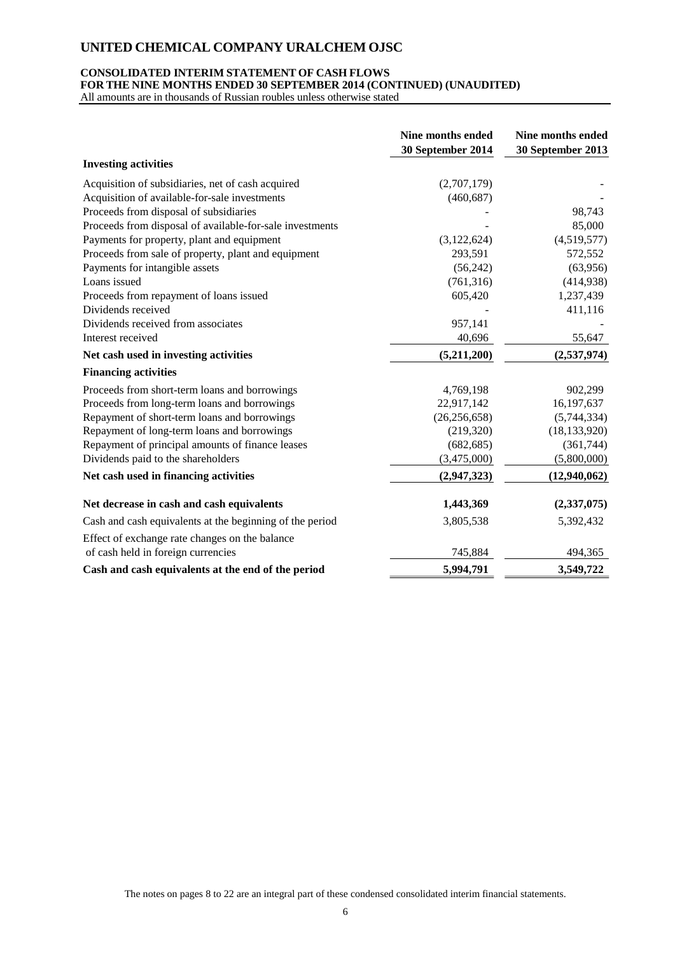### **CONSOLIDATED INTERIM STATEMENT OF CASH FLOWS**

**FOR THE NINE MONTHS ENDED 30 SEPTEMBER 2014 (CONTINUED) (UNAUDITED)**

All amounts are in thousands of Russian roubles unless otherwise stated

|                                                          | Nine months ended<br>30 September 2014 | Nine months ended<br>30 September 2013 |
|----------------------------------------------------------|----------------------------------------|----------------------------------------|
| <b>Investing activities</b>                              |                                        |                                        |
| Acquisition of subsidiaries, net of cash acquired        | (2,707,179)                            |                                        |
| Acquisition of available-for-sale investments            | (460, 687)                             |                                        |
| Proceeds from disposal of subsidiaries                   |                                        | 98,743                                 |
| Proceeds from disposal of available-for-sale investments |                                        | 85,000                                 |
| Payments for property, plant and equipment               | (3, 122, 624)                          | (4,519,577)                            |
| Proceeds from sale of property, plant and equipment      | 293,591                                | 572,552                                |
| Payments for intangible assets                           | (56, 242)                              | (63,956)                               |
| Loans issued                                             | (761, 316)                             | (414, 938)                             |
| Proceeds from repayment of loans issued                  | 605,420                                | 1,237,439                              |
| Dividends received                                       |                                        | 411,116                                |
| Dividends received from associates                       | 957,141                                |                                        |
| Interest received                                        | 40,696                                 | 55,647                                 |
| Net cash used in investing activities                    | (5,211,200)                            | (2,537,974)                            |
| <b>Financing activities</b>                              |                                        |                                        |
| Proceeds from short-term loans and borrowings            | 4,769,198                              | 902,299                                |
| Proceeds from long-term loans and borrowings             | 22,917,142                             | 16,197,637                             |
| Repayment of short-term loans and borrowings             | (26, 256, 658)                         | (5,744,334)                            |
| Repayment of long-term loans and borrowings              | (219, 320)                             | (18, 133, 920)                         |
| Repayment of principal amounts of finance leases         | (682, 685)                             | (361,744)                              |
| Dividends paid to the shareholders                       | (3,475,000)                            | (5,800,000)                            |
| Net cash used in financing activities                    | (2,947,323)                            | (12,940,062)                           |
| Net decrease in cash and cash equivalents                | 1,443,369                              | (2, 337, 075)                          |
| Cash and cash equivalents at the beginning of the period | 3,805,538                              | 5,392,432                              |
| Effect of exchange rate changes on the balance           |                                        |                                        |
| of cash held in foreign currencies                       | 745,884                                | 494,365                                |
| Cash and cash equivalents at the end of the period       | 5,994,791                              | 3,549,722                              |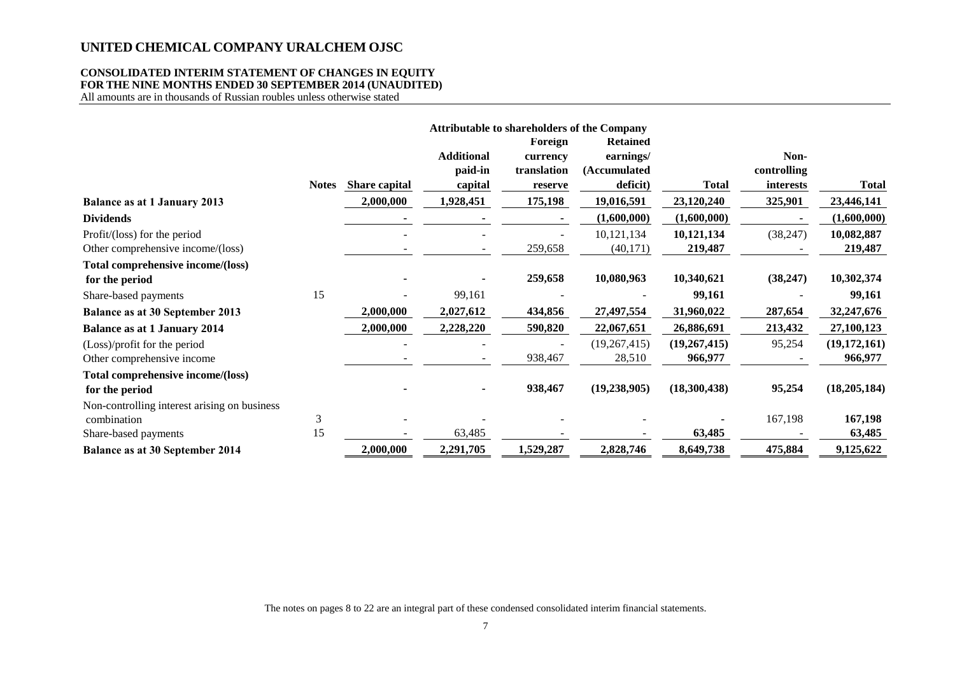### **CONSOLIDATED INTERIM STATEMENT OF CHANGES IN EQUITY FOR THE NINE MONTHS ENDED 30 SEPTEMBER 2014 (UNAUDITED)**

All amounts are in thousands of Russian roubles unless otherwise stated

|                                              |              |               |                          |             | <b>Attributable to shareholders of the Company</b> |              |             |                |
|----------------------------------------------|--------------|---------------|--------------------------|-------------|----------------------------------------------------|--------------|-------------|----------------|
|                                              |              |               |                          | Foreign     | <b>Retained</b>                                    |              |             |                |
|                                              |              |               | <b>Additional</b>        | currency    | earnings/                                          |              | Non-        |                |
|                                              |              |               | paid-in                  | translation | (Accumulated                                       |              | controlling |                |
|                                              | <b>Notes</b> | Share capital | capital                  | reserve     | deficit)                                           | <b>Total</b> | interests   | Total          |
| <b>Balance as at 1 January 2013</b>          |              | 2,000,000     | 1,928,451                | 175,198     | 19,016,591                                         | 23,120,240   | 325,901     | 23,446,141     |
| <b>Dividends</b>                             |              |               |                          |             | (1,600,000)                                        | (1,600,000)  |             | (1,600,000)    |
| Profit/(loss) for the period                 |              |               |                          |             | 10,121,134                                         | 10,121,134   | (38, 247)   | 10,082,887     |
| Other comprehensive income/(loss)            |              |               | $\overline{\phantom{a}}$ | 259,658     | (40, 171)                                          | 219,487      |             | 219,487        |
| Total comprehensive income/(loss)            |              |               |                          |             |                                                    |              |             |                |
| for the period                               |              |               |                          | 259,658     | 10,080,963                                         | 10,340,621   | (38, 247)   | 10,302,374     |
| Share-based payments                         | 15           |               | 99,161                   |             |                                                    | 99,161       |             | 99,161         |
| <b>Balance as at 30 September 2013</b>       |              | 2,000,000     | 2,027,612                | 434,856     | 27,497,554                                         | 31,960,022   | 287,654     | 32,247,676     |
| <b>Balance as at 1 January 2014</b>          |              | 2,000,000     | 2,228,220                | 590,820     | 22,067,651                                         | 26,886,691   | 213,432     | 27,100,123     |
| (Loss)/profit for the period                 |              |               |                          |             | (19, 267, 415)                                     | (19,267,415) | 95,254      | (19,172,161)   |
| Other comprehensive income                   |              |               |                          | 938,467     | 28,510                                             | 966,977      |             | 966,977        |
| Total comprehensive income/(loss)            |              |               |                          |             |                                                    |              |             |                |
| for the period                               |              |               |                          | 938,467     | (19, 238, 905)                                     | (18,300,438) | 95,254      | (18, 205, 184) |
| Non-controlling interest arising on business |              |               |                          |             |                                                    |              |             |                |
| combination                                  | 3            |               |                          |             |                                                    |              | 167,198     | 167,198        |
| Share-based payments                         | 15           |               | 63,485                   |             |                                                    | 63,485       |             | 63,485         |
| Balance as at 30 September 2014              |              | 2,000,000     | 2,291,705                | 1,529,287   | 2,828,746                                          | 8,649,738    | 475,884     | 9,125,622      |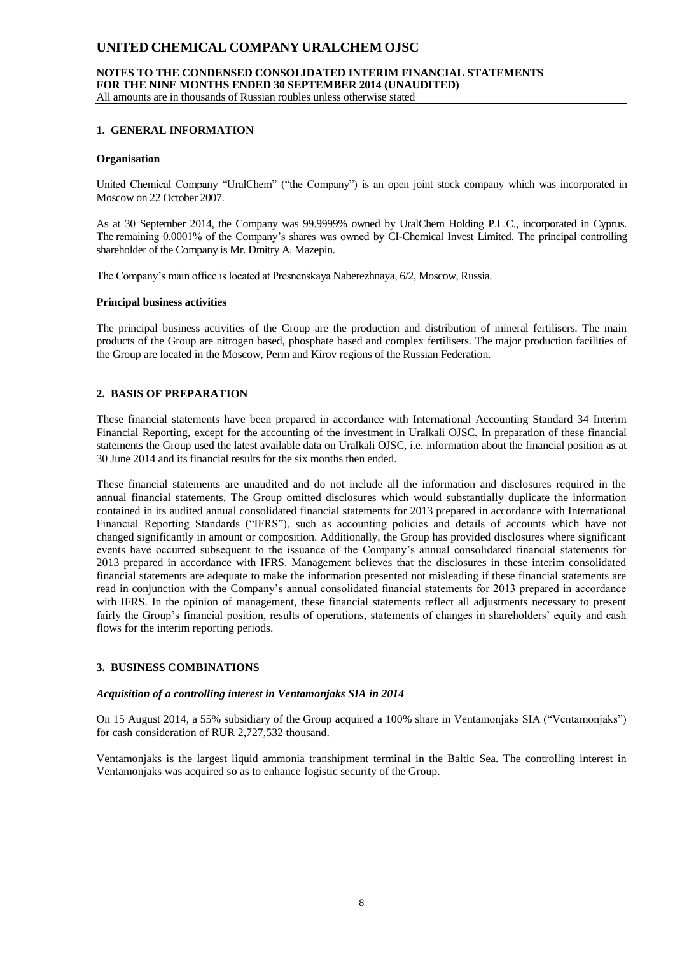#### **NOTES TO THE CONDENSED CONSOLIDATED INTERIM FINANCIAL STATEMENTS FOR THE NINE MONTHS ENDED 30 SEPTEMBER 2014 (UNAUDITED)** All amounts are in thousands of Russian roubles unless otherwise stated

### **1. GENERAL INFORMATION**

### **Organisation**

United Chemical Company "UralChem" ("the Company") is an open joint stock company which was incorporated in Moscow on 22 October 2007.

As at 30 September 2014, the Company was 99.9999% owned by UralChem Holding P.L.C., incorporated in Cyprus. The remaining 0.0001% of the Company's shares was owned by CI-Chemical Invest Limited. The principal controlling shareholder of the Company is Mr. Dmitry A. Mazepin.

The Company's main office is located at Presnenskaya Naberezhnaya, 6/2, Moscow, Russia.

### **Principal business activities**

The principal business activities of the Group are the production and distribution of mineral fertilisers. The main products of the Group are nitrogen based, phosphate based and complex fertilisers. The major production facilities of the Group are located in the Moscow, Perm and Kirov regions of the Russian Federation.

### **2. BASIS OF PREPARATION**

These financial statements have been prepared in accordance with International Accounting Standard 34 Interim Financial Reporting, except for the accounting of the investment in Uralkali OJSC. In preparation of these financial statements the Group used the latest available data on Uralkali OJSC, i.e. information about the financial position as at 30 June 2014 and its financial results for the six months then ended.

These financial statements are unaudited and do not include all the information and disclosures required in the annual financial statements. The Group omitted disclosures which would substantially duplicate the information contained in its audited annual consolidated financial statements for 2013 prepared in accordance with International Financial Reporting Standards ("IFRS"), such as accounting policies and details of accounts which have not changed significantly in amount or composition. Additionally, the Group has provided disclosures where significant events have occurred subsequent to the issuance of the Company's annual consolidated financial statements for 2013 prepared in accordance with IFRS. Management believes that the disclosures in these interim consolidated financial statements are adequate to make the information presented not misleading if these financial statements are read in conjunction with the Company's annual consolidated financial statements for 2013 prepared in accordance with IFRS. In the opinion of management, these financial statements reflect all adjustments necessary to present fairly the Group's financial position, results of operations, statements of changes in shareholders' equity and cash flows for the interim reporting periods.

### **3. BUSINESS COMBINATIONS**

#### *Acquisition of a controlling interest in Ventamonjaks SIA in 2014*

On 15 August 2014, a 55% subsidiary of the Group acquired a 100% share in Ventamonjaks SIA ("Ventamonjaks") for cash consideration of RUR 2,727,532 thousand.

Ventamonjaks is the largest liquid ammonia transhipment terminal in the Baltic Sea. The controlling interest in Ventamonjaks was acquired so as to enhance logistic security of the Group.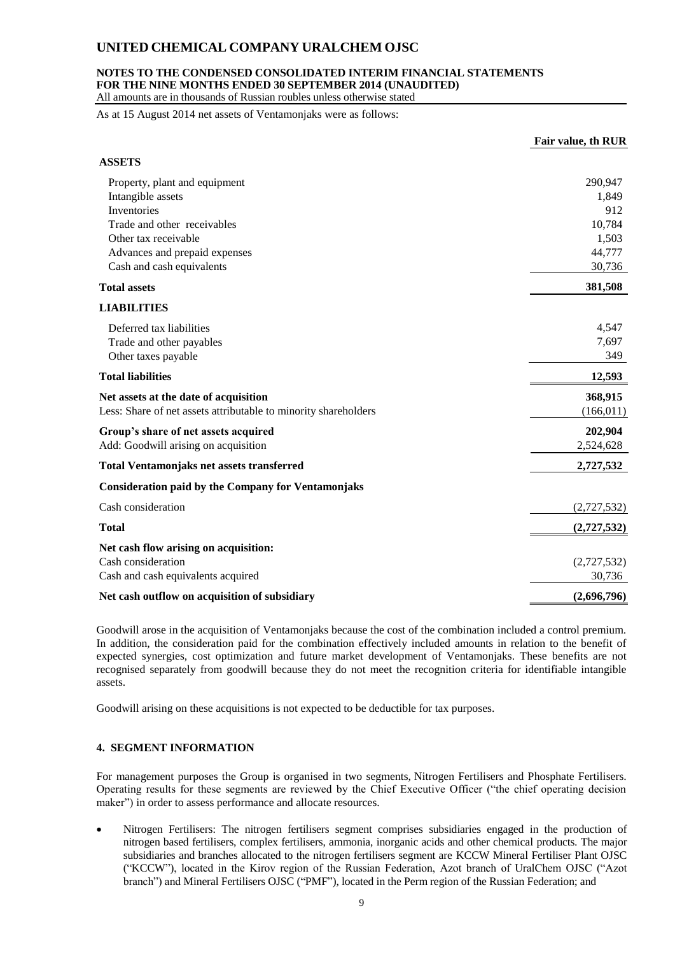### **NOTES TO THE CONDENSED CONSOLIDATED INTERIM FINANCIAL STATEMENTS FOR THE NINE MONTHS ENDED 30 SEPTEMBER 2014 (UNAUDITED)**

All amounts are in thousands of Russian roubles unless otherwise stated

As at 15 August 2014 net assets of Ventamonjaks were as follows:

|                                                                 | Fair value, th RUR |
|-----------------------------------------------------------------|--------------------|
| <b>ASSETS</b>                                                   |                    |
| Property, plant and equipment                                   | 290,947            |
| Intangible assets                                               | 1,849              |
| Inventories                                                     | 912                |
| Trade and other receivables                                     | 10,784             |
| Other tax receivable                                            | 1,503              |
| Advances and prepaid expenses                                   | 44,777             |
| Cash and cash equivalents                                       | 30,736             |
| <b>Total assets</b>                                             | 381,508            |
| <b>LIABILITIES</b>                                              |                    |
| Deferred tax liabilities                                        | 4,547              |
| Trade and other payables                                        | 7,697              |
| Other taxes payable                                             | 349                |
| <b>Total liabilities</b>                                        | 12,593             |
| Net assets at the date of acquisition                           | 368,915            |
| Less: Share of net assets attributable to minority shareholders | (166, 011)         |
| Group's share of net assets acquired                            | 202,904            |
| Add: Goodwill arising on acquisition                            | 2,524,628          |
| <b>Total Ventamonjaks net assets transferred</b>                | 2,727,532          |
| <b>Consideration paid by the Company for Ventamonjaks</b>       |                    |
| Cash consideration                                              | (2,727,532)        |
| <b>Total</b>                                                    | (2,727,532)        |
| Net cash flow arising on acquisition:                           |                    |
| Cash consideration                                              | (2,727,532)        |
| Cash and cash equivalents acquired                              | 30,736             |
| Net cash outflow on acquisition of subsidiary                   | (2,696,796)        |

Goodwill arose in the acquisition of Ventamonjaks because the cost of the combination included a control premium. In addition, the consideration paid for the combination effectively included amounts in relation to the benefit of expected synergies, cost optimization and future market development of Ventamonjaks. These benefits are not recognised separately from goodwill because they do not meet the recognition criteria for identifiable intangible assets.

Goodwill arising on these acquisitions is not expected to be deductible for tax purposes.

### **4. SEGMENT INFORMATION**

For management purposes the Group is organised in two segments, Nitrogen Fertilisers and Phosphate Fertilisers. Operating results for these segments are reviewed by the Chief Executive Officer ("the chief operating decision maker") in order to assess performance and allocate resources.

 Nitrogen Fertilisers: The nitrogen fertilisers segment comprises subsidiaries engaged in the production of nitrogen based fertilisers, complex fertilisers, ammonia, inorganic acids and other chemical products. The major subsidiaries and branches allocated to the nitrogen fertilisers segment are KCCW Mineral Fertiliser Plant OJSC ("KCCW"), located in the Kirov region of the Russian Federation, Azot branch of UralChem OJSC ("Azot branch") and Mineral Fertilisers OJSC ("PMF"), located in the Perm region of the Russian Federation; and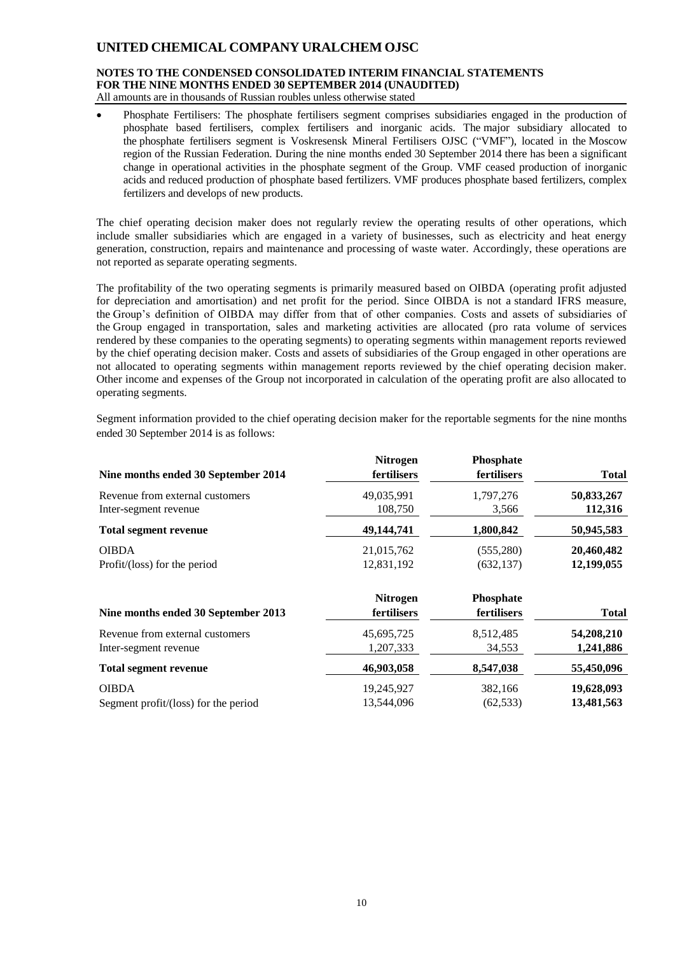#### **NOTES TO THE CONDENSED CONSOLIDATED INTERIM FINANCIAL STATEMENTS FOR THE NINE MONTHS ENDED 30 SEPTEMBER 2014 (UNAUDITED)** All amounts are in thousands of Russian roubles unless otherwise stated

 Phosphate Fertilisers: The phosphate fertilisers segment comprises subsidiaries engaged in the production of phosphate based fertilisers, complex fertilisers and inorganic acids. The major subsidiary allocated to the phosphate fertilisers segment is Voskresensk Mineral Fertilisers OJSC ("VMF"), located in the Moscow region of the Russian Federation. During the nine months ended 30 September 2014 there has been a significant change in operational activities in the phosphate segment of the Group. VMF ceased production of inorganic acids and reduced production of phosphate based fertilizers. VMF produces phosphate based fertilizers, complex fertilizers and develops of new products.

The chief operating decision maker does not regularly review the operating results of other operations, which include smaller subsidiaries which are engaged in a variety of businesses, such as electricity and heat energy generation, construction, repairs and maintenance and processing of waste water. Accordingly, these operations are not reported as separate operating segments.

The profitability of the two operating segments is primarily measured based on OIBDA (operating profit adjusted for depreciation and amortisation) and net profit for the period. Since OIBDA is not a standard IFRS measure, the Group's definition of OIBDA may differ from that of other companies. Costs and assets of subsidiaries of the Group engaged in transportation, sales and marketing activities are allocated (pro rata volume of services rendered by these companies to the operating segments) to operating segments within management reports reviewed by the chief operating decision maker. Costs and assets of subsidiaries of the Group engaged in other operations are not allocated to operating segments within management reports reviewed by the chief operating decision maker. Other income and expenses of the Group not incorporated in calculation of the operating profit are also allocated to operating segments.

Segment information provided to the chief operating decision maker for the reportable segments for the nine months ended 30 September 2014 is as follows:

|                                      | <b>Nitrogen</b>    | <b>Phosphate</b> |              |
|--------------------------------------|--------------------|------------------|--------------|
| Nine months ended 30 September 2014  | fertilisers        | fertilisers      | <b>Total</b> |
| Revenue from external customers      | 49,035,991         | 1,797,276        | 50,833,267   |
| Inter-segment revenue                | 108,750            | 3,566            | 112,316      |
| <b>Total segment revenue</b>         | 49,144,741         | 1,800,842        | 50,945,583   |
| <b>OIBDA</b>                         | 21,015,762         | (555, 280)       | 20,460,482   |
| Profit/(loss) for the period         | 12,831,192         | (632, 137)       | 12,199,055   |
|                                      | <b>Nitrogen</b>    | Phosphate        |              |
| Nine months ended 30 September 2013  | <b>fertilisers</b> | fertilisers      | <b>Total</b> |
| Revenue from external customers      | 45,695,725         | 8,512,485        | 54,208,210   |
| Inter-segment revenue                | 1,207,333          | 34,553           | 1,241,886    |
| <b>Total segment revenue</b>         | 46,903,058         | 8,547,038        | 55,450,096   |
| <b>OIBDA</b>                         | 19,245,927         | 382,166          | 19,628,093   |
| Segment profit/(loss) for the period | 13.544.096         | (62, 533)        | 13,481,563   |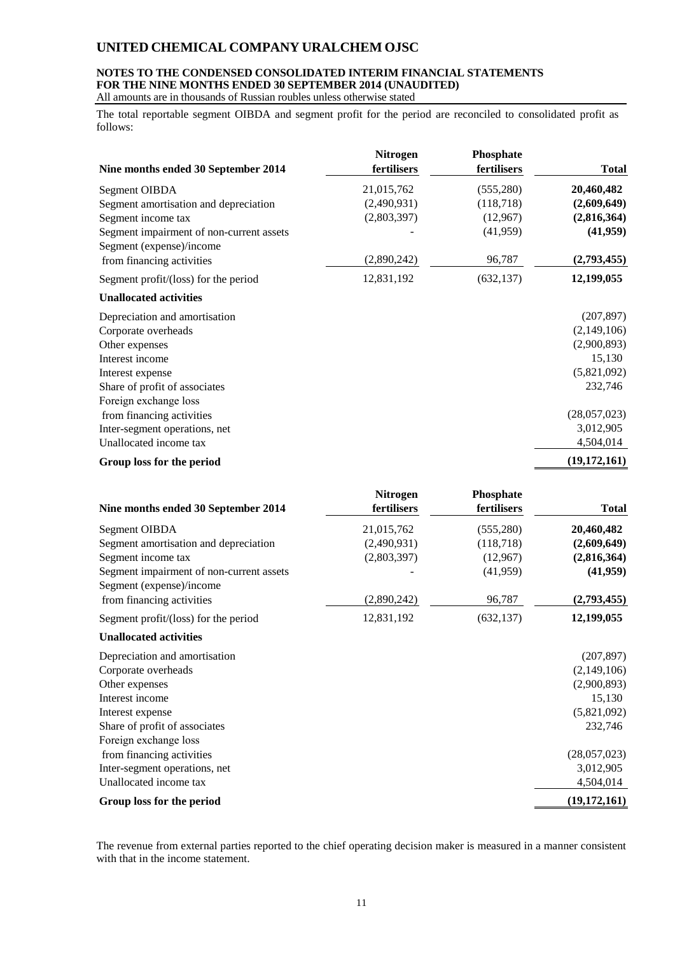## **NOTES TO THE CONDENSED CONSOLIDATED INTERIM FINANCIAL STATEMENTS FOR THE NINE MONTHS ENDED 30 SEPTEMBER 2014 (UNAUDITED)**

All amounts are in thousands of Russian roubles unless otherwise stated

The total reportable segment OIBDA and segment profit for the period are reconciled to consolidated profit as follows:

| Nine months ended 30 September 2014                                  | <b>Nitrogen</b><br>fertilisers | Phosphate<br>fertilisers | <b>Total</b>   |
|----------------------------------------------------------------------|--------------------------------|--------------------------|----------------|
| Segment OIBDA                                                        | 21,015,762                     | (555, 280)               | 20,460,482     |
| Segment amortisation and depreciation                                | (2,490,931)                    | (118, 718)               | (2,609,649)    |
| Segment income tax                                                   | (2,803,397)                    | (12,967)                 | (2,816,364)    |
| Segment impairment of non-current assets<br>Segment (expense)/income |                                | (41,959)                 | (41,959)       |
| from financing activities                                            | (2,890,242)                    | 96,787                   | (2,793,455)    |
| Segment profit/(loss) for the period                                 | 12,831,192                     | (632, 137)               | 12,199,055     |
| <b>Unallocated activities</b>                                        |                                |                          |                |
| Depreciation and amortisation                                        |                                |                          | (207, 897)     |
| Corporate overheads                                                  |                                |                          | (2,149,106)    |
| Other expenses                                                       |                                |                          | (2,900,893)    |
| Interest income                                                      |                                |                          | 15,130         |
| Interest expense                                                     |                                |                          | (5,821,092)    |
| Share of profit of associates                                        |                                |                          | 232,746        |
| Foreign exchange loss                                                |                                |                          |                |
| from financing activities                                            |                                |                          | (28,057,023)   |
| Inter-segment operations, net                                        |                                |                          | 3,012,905      |
| Unallocated income tax                                               |                                |                          | 4,504,014      |
| Group loss for the period                                            |                                |                          | (19, 172, 161) |

| Nine months ended 30 September 2014                                  | <b>Nitrogen</b><br>fertilisers | <b>Phosphate</b><br>fertilisers | <b>Total</b>   |
|----------------------------------------------------------------------|--------------------------------|---------------------------------|----------------|
| Segment OIBDA                                                        | 21,015,762                     | (555, 280)                      | 20,460,482     |
| Segment amortisation and depreciation                                | (2,490,931)                    | (118, 718)                      | (2,609,649)    |
| Segment income tax                                                   | (2,803,397)                    | (12,967)                        | (2,816,364)    |
| Segment impairment of non-current assets<br>Segment (expense)/income |                                | (41, 959)                       | (41,959)       |
| from financing activities                                            | (2,890,242)                    | 96,787                          | (2,793,455)    |
| Segment profit/(loss) for the period                                 | 12,831,192                     | (632, 137)                      | 12,199,055     |
| <b>Unallocated activities</b>                                        |                                |                                 |                |
| Depreciation and amortisation                                        |                                |                                 | (207, 897)     |
| Corporate overheads                                                  |                                |                                 | (2,149,106)    |
| Other expenses                                                       |                                |                                 | (2,900,893)    |
| Interest income                                                      |                                |                                 | 15,130         |
| Interest expense                                                     |                                |                                 | (5,821,092)    |
| Share of profit of associates                                        |                                |                                 | 232,746        |
| Foreign exchange loss                                                |                                |                                 |                |
| from financing activities                                            |                                |                                 | (28,057,023)   |
| Inter-segment operations, net                                        |                                |                                 | 3,012,905      |
| Unallocated income tax                                               |                                |                                 | 4,504,014      |
| Group loss for the period                                            |                                |                                 | (19, 172, 161) |

The revenue from external parties reported to the chief operating decision maker is measured in a manner consistent with that in the income statement.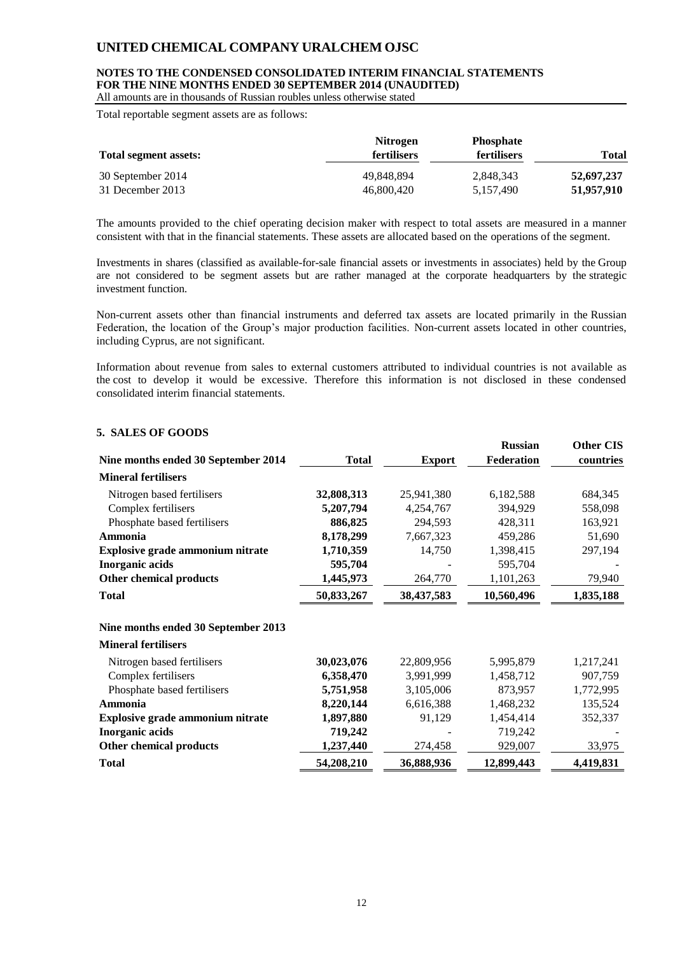### **NOTES TO THE CONDENSED CONSOLIDATED INTERIM FINANCIAL STATEMENTS FOR THE NINE MONTHS ENDED 30 SEPTEMBER 2014 (UNAUDITED)**

All amounts are in thousands of Russian roubles unless otherwise stated

Total reportable segment assets are as follows:

| Total segment assets: | <b>Nitrogen</b><br><b>fertilisers</b> | <b>Phosphate</b><br><b>fertilisers</b> | <b>Total</b> |
|-----------------------|---------------------------------------|----------------------------------------|--------------|
| 30 September 2014     | 49.848.894                            | 2,848,343                              | 52,697,237   |
| 31 December 2013      | 46,800,420                            | 5.157.490                              | 51,957,910   |

The amounts provided to the chief operating decision maker with respect to total assets are measured in a manner consistent with that in the financial statements. These assets are allocated based on the operations of the segment.

Investments in shares (classified as available-for-sale financial assets or investments in associates) held by the Group are not considered to be segment assets but are rather managed at the corporate headquarters by the strategic investment function.

Non-current assets other than financial instruments and deferred tax assets are located primarily in the Russian Federation, the location of the Group's major production facilities. Non-current assets located in other countries, including Cyprus, are not significant.

Information about revenue from sales to external customers attributed to individual countries is not available as the cost to develop it would be excessive. Therefore this information is not disclosed in these condensed consolidated interim financial statements.

### **5. SALES OF GOODS**

|                                         |              |               | <b>Russian</b> | <b>Other CIS</b> |
|-----------------------------------------|--------------|---------------|----------------|------------------|
| Nine months ended 30 September 2014     | <b>Total</b> | <b>Export</b> | Federation     | countries        |
| <b>Mineral fertilisers</b>              |              |               |                |                  |
| Nitrogen based fertilisers              | 32,808,313   | 25,941,380    | 6,182,588      | 684,345          |
| Complex fertilisers                     | 5,207,794    | 4,254,767     | 394,929        | 558,098          |
| Phosphate based fertilisers             | 886,825      | 294,593       | 428,311        | 163,921          |
| Ammonia                                 | 8,178,299    | 7,667,323     | 459,286        | 51,690           |
| <b>Explosive grade ammonium nitrate</b> | 1,710,359    | 14,750        | 1,398,415      | 297,194          |
| <b>Inorganic acids</b>                  | 595,704      |               | 595,704        |                  |
| <b>Other chemical products</b>          | 1,445,973    | 264,770       | 1,101,263      | 79,940           |
| <b>Total</b>                            | 50,833,267   | 38,437,583    | 10,560,496     | 1,835,188        |
| Nine months ended 30 September 2013     |              |               |                |                  |
| <b>Mineral fertilisers</b>              |              |               |                |                  |
| Nitrogen based fertilisers              | 30,023,076   | 22,809,956    | 5,995,879      | 1,217,241        |
| Complex fertilisers                     | 6,358,470    | 3,991,999     | 1,458,712      | 907,759          |
| Phosphate based fertilisers             | 5,751,958    | 3,105,006     | 873,957        | 1,772,995        |
| Ammonia                                 | 8,220,144    | 6,616,388     | 1,468,232      | 135,524          |
| Explosive grade ammonium nitrate        | 1,897,880    | 91,129        | 1,454,414      | 352,337          |
| <b>Inorganic acids</b>                  | 719,242      |               | 719,242        |                  |
| <b>Other chemical products</b>          | 1,237,440    | 274,458       | 929,007        | 33,975           |
| <b>Total</b>                            | 54,208,210   | 36,888,936    | 12,899,443     | 4,419,831        |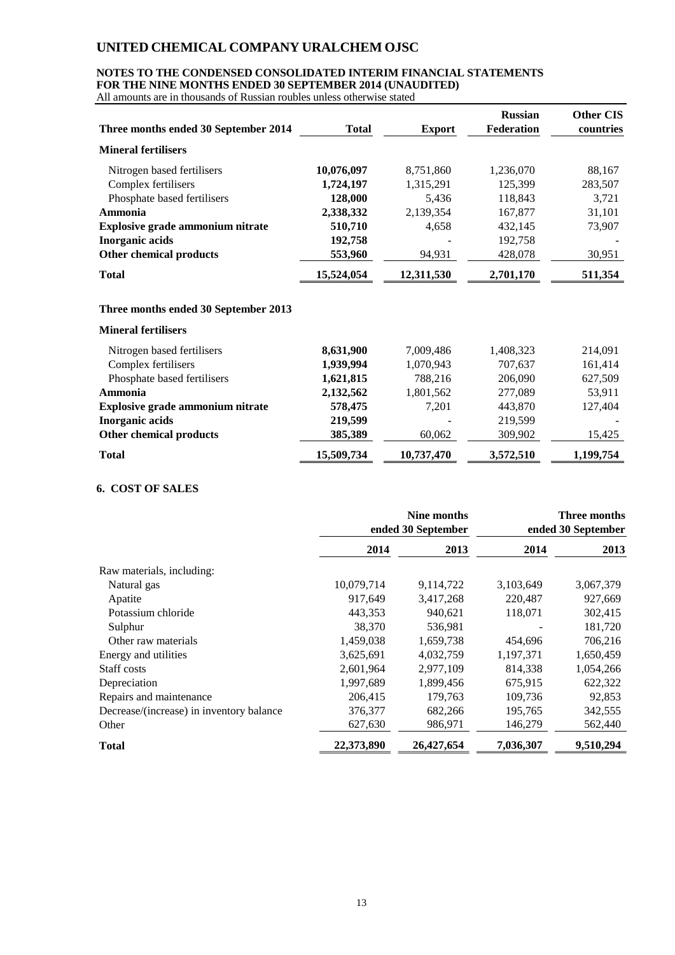### **NOTES TO THE CONDENSED CONSOLIDATED INTERIM FINANCIAL STATEMENTS FOR THE NINE MONTHS ENDED 30 SEPTEMBER 2014 (UNAUDITED)**

All amounts are in thousands of Russian roubles unless otherwise stated

|                                         |              |               | <b>Russian</b>    | <b>Other CIS</b> |
|-----------------------------------------|--------------|---------------|-------------------|------------------|
| Three months ended 30 September 2014    | <b>Total</b> | <b>Export</b> | <b>Federation</b> | countries        |
| <b>Mineral fertilisers</b>              |              |               |                   |                  |
| Nitrogen based fertilisers              | 10,076,097   | 8,751,860     | 1,236,070         | 88,167           |
| Complex fertilisers                     | 1,724,197    | 1,315,291     | 125,399           | 283,507          |
| Phosphate based fertilisers             | 128,000      | 5,436         | 118,843           | 3,721            |
| Ammonia                                 | 2,338,332    | 2,139,354     | 167,877           | 31,101           |
| <b>Explosive grade ammonium nitrate</b> | 510,710      | 4,658         | 432,145           | 73,907           |
| <b>Inorganic acids</b>                  | 192,758      |               | 192,758           |                  |
| Other chemical products                 | 553,960      | 94,931        | 428,078           | 30,951           |
| <b>Total</b>                            | 15,524,054   | 12,311,530    | 2,701,170         | 511,354          |
| Three months ended 30 September 2013    |              |               |                   |                  |

#### **Mineral fertilisers**

|            |            |           | 214,091   |
|------------|------------|-----------|-----------|
| 1,939,994  | 1,070,943  | 707,637   | 161,414   |
| 1,621,815  | 788,216    | 206,090   | 627,509   |
| 2,132,562  | 1,801,562  | 277,089   | 53,911    |
| 578,475    | 7.201      | 443,870   | 127,404   |
| 219,599    |            | 219,599   |           |
| 385,389    | 60,062     | 309,902   | 15,425    |
| 15,509,734 | 10,737,470 | 3,572,510 | 1,199,754 |
|            | 8,631,900  | 7,009,486 | 1,408,323 |

### **6. COST OF SALES**

|                                          | <b>Nine months</b><br>ended 30 September |            | Three months<br>ended 30 September |           |
|------------------------------------------|------------------------------------------|------------|------------------------------------|-----------|
|                                          | 2014                                     | 2013       | 2014                               | 2013      |
| Raw materials, including:                |                                          |            |                                    |           |
| Natural gas                              | 10,079,714                               | 9,114,722  | 3,103,649                          | 3,067,379 |
| Apatite                                  | 917,649                                  | 3,417,268  | 220,487                            | 927,669   |
| Potassium chloride                       | 443,353                                  | 940,621    | 118,071                            | 302,415   |
| Sulphur                                  | 38,370                                   | 536.981    |                                    | 181,720   |
| Other raw materials                      | 1,459,038                                | 1,659,738  | 454,696                            | 706,216   |
| Energy and utilities                     | 3,625,691                                | 4,032,759  | 1,197,371                          | 1,650,459 |
| Staff costs                              | 2,601,964                                | 2,977,109  | 814,338                            | 1,054,266 |
| Depreciation                             | 1,997,689                                | 1,899,456  | 675,915                            | 622,322   |
| Repairs and maintenance                  | 206,415                                  | 179,763    | 109,736                            | 92,853    |
| Decrease/(increase) in inventory balance | 376,377                                  | 682,266    | 195,765                            | 342,555   |
| Other                                    | 627,630                                  | 986,971    | 146,279                            | 562,440   |
| Total                                    | 22,373,890                               | 26,427,654 | 7,036,307                          | 9,510,294 |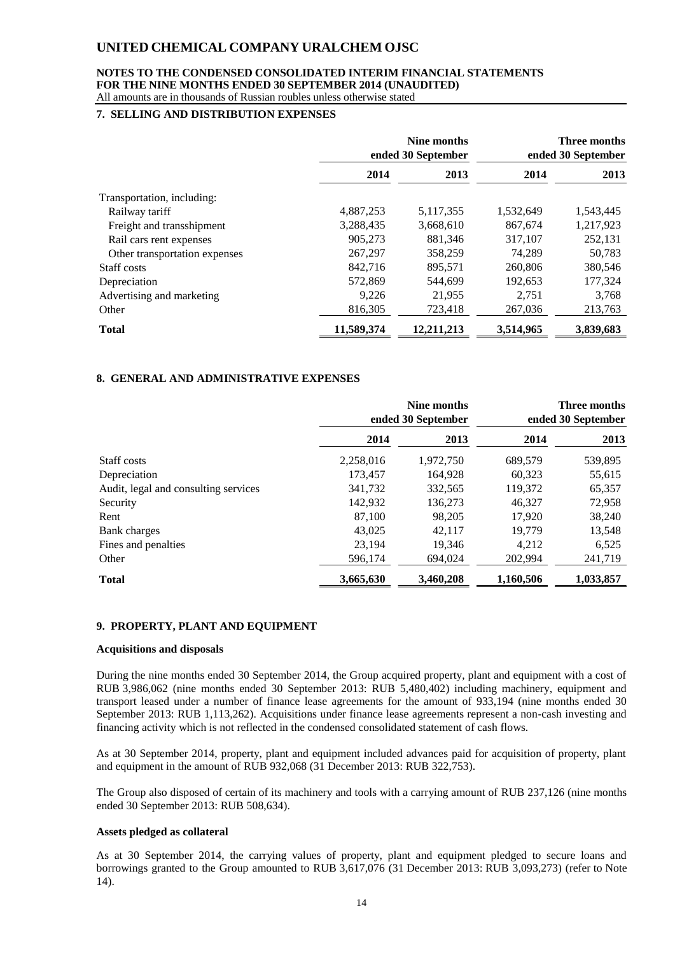#### **NOTES TO THE CONDENSED CONSOLIDATED INTERIM FINANCIAL STATEMENTS FOR THE NINE MONTHS ENDED 30 SEPTEMBER 2014 (UNAUDITED)** All amounts are in thousands of Russian roubles unless otherwise stated

### **7. SELLING AND DISTRIBUTION EXPENSES**

|                               |            | Nine months<br>ended 30 September |           | <b>Three months</b><br>ended 30 September |
|-------------------------------|------------|-----------------------------------|-----------|-------------------------------------------|
|                               | 2014       | 2013                              | 2014      | 2013                                      |
| Transportation, including:    |            |                                   |           |                                           |
| Railway tariff                | 4,887,253  | 5, 117, 355                       | 1,532,649 | 1,543,445                                 |
| Freight and transshipment     | 3,288,435  | 3,668,610                         | 867.674   | 1,217,923                                 |
| Rail cars rent expenses       | 905,273    | 881,346                           | 317,107   | 252,131                                   |
| Other transportation expenses | 267,297    | 358,259                           | 74,289    | 50,783                                    |
| Staff costs                   | 842,716    | 895,571                           | 260,806   | 380,546                                   |
| Depreciation                  | 572,869    | 544,699                           | 192,653   | 177,324                                   |
| Advertising and marketing     | 9,226      | 21,955                            | 2,751     | 3,768                                     |
| Other                         | 816,305    | 723,418                           | 267,036   | 213,763                                   |
| <b>Total</b>                  | 11.589.374 | 12,211,213                        | 3,514,965 | 3,839,683                                 |

### **8. GENERAL AND ADMINISTRATIVE EXPENSES**

|                                      | Nine months<br>ended 30 September |           | <b>Three months</b><br>ended 30 September |           |
|--------------------------------------|-----------------------------------|-----------|-------------------------------------------|-----------|
|                                      | 2014                              | 2013      | 2014                                      | 2013      |
| Staff costs                          | 2,258,016                         | 1,972,750 | 689,579                                   | 539,895   |
| Depreciation                         | 173.457                           | 164.928   | 60.323                                    | 55,615    |
| Audit, legal and consulting services | 341,732                           | 332,565   | 119,372                                   | 65,357    |
| Security                             | 142,932                           | 136,273   | 46,327                                    | 72,958    |
| Rent                                 | 87,100                            | 98,205    | 17,920                                    | 38,240    |
| <b>Bank</b> charges                  | 43,025                            | 42,117    | 19.779                                    | 13,548    |
| Fines and penalties                  | 23,194                            | 19.346    | 4,212                                     | 6,525     |
| Other                                | 596,174                           | 694,024   | 202,994                                   | 241,719   |
| <b>Total</b>                         | 3,665,630                         | 3,460,208 | 1,160,506                                 | 1,033,857 |

### **9. PROPERTY, PLANT AND EQUIPMENT**

#### **Acquisitions and disposals**

During the nine months ended 30 September 2014, the Group acquired property, plant and equipment with a cost of RUB 3,986,062 (nine months ended 30 September 2013: RUB 5,480,402) including machinery, equipment and transport leased under a number of finance lease agreements for the amount of 933,194 (nine months ended 30 September 2013: RUB 1,113,262). Acquisitions under finance lease agreements represent a non-cash investing and financing activity which is not reflected in the condensed consolidated statement of cash flows.

As at 30 September 2014, property, plant and equipment included advances paid for acquisition of property, plant and equipment in the amount of RUB 932,068 (31 December 2013: RUB 322,753).

The Group also disposed of certain of its machinery and tools with a carrying amount of RUB 237,126 (nine months ended 30 September 2013: RUB 508,634).

### **Assets pledged as collateral**

As at 30 September 2014, the carrying values of property, plant and equipment pledged to secure loans and borrowings granted to the Group amounted to RUB 3,617,076 (31 December 2013: RUB 3,093,273) (refer to Note 14).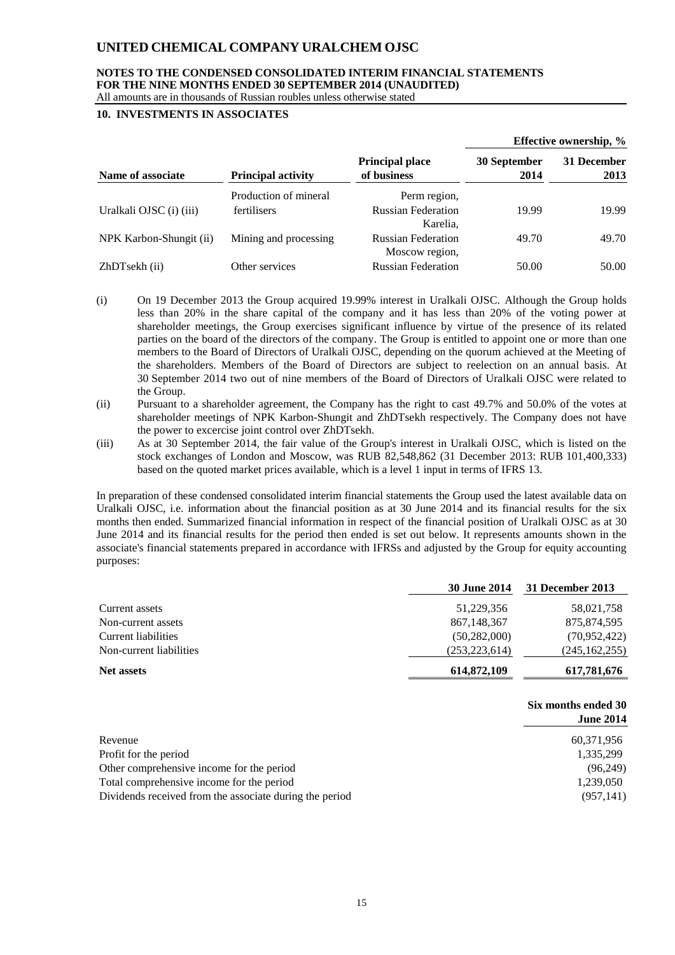### **NOTES TO THE CONDENSED CONSOLIDATED INTERIM FINANCIAL STATEMENTS FOR THE NINE MONTHS ENDED 30 SEPTEMBER 2014 (UNAUDITED)**

### All amounts are in thousands of Russian roubles unless otherwise stated

### **10. INVESTMENTS IN ASSOCIATES**

|                         |                           |                                             |                      | Effective ownership, % |
|-------------------------|---------------------------|---------------------------------------------|----------------------|------------------------|
| Name of associate       | <b>Principal activity</b> | <b>Principal place</b><br>of business       | 30 September<br>2014 | 31 December<br>2013    |
|                         | Production of mineral     | Perm region,                                |                      |                        |
| Uralkali OJSC (i) (iii) | <b>fertilisers</b>        | <b>Russian Federation</b><br>Karelia.       | 19.99                | 19.99                  |
| NPK Karbon-Shungit (ii) | Mining and processing     | <b>Russian Federation</b><br>Moscow region, | 49.70                | 49.70                  |
| ZhDTsekh (ii)           | Other services            | <b>Russian Federation</b>                   | 50.00                | 50.00                  |

- (i) On 19 December 2013 the Group acquired 19.99% interest in Uralkali OJSC. Although the Group holds less than 20% in the share capital of the company and it has less than 20% of the voting power at shareholder meetings, the Group exercises significant influence by virtue of the presence of its related parties on the board of the directors of the company. The Group is entitled to appoint one or more than one members to the Board of Directors of Uralkali OJSC, depending on the quorum achieved at the Meeting of the shareholders. Members of the Board of Directors are subject to reelection on an annual basis. At 30 September 2014 two out of nine members of the Board of Directors of Uralkali OJSC were related to the Group.
- (ii) Pursuant to a shareholder agreement, the Company has the right to cast 49.7% and 50.0% of the votes at shareholder meetings of NPK Karbon-Shungit and ZhDTsekh respectively. The Company does not have the power to excercise joint control over ZhDTsekh.
- (iii) As at 30 September 2014, the fair value of the Group's interest in Uralkali OJSC, which is listed on the stock exchanges of London and Moscow, was RUB 82,548,862 (31 December 2013: RUB 101,400,333) based on the quoted market prices available, which is a level 1 input in terms of IFRS 13.

In preparation of these condensed consolidated interim financial statements the Group used the latest available data on Uralkali OJSC, i.e. information about the financial position as at 30 June 2014 and its financial results for the six months then ended. Summarized financial information in respect of the financial position of Uralkali OJSC as at 30 June 2014 and its financial results for the period then ended is set out below. It represents amounts shown in the associate's financial statements prepared in accordance with IFRSs and adjusted by the Group for equity accounting purposes:

|                         | <b>30 June 2014</b> | 31 December 2013 |
|-------------------------|---------------------|------------------|
| Current assets          | 51,229,356          | 58,021,758       |
| Non-current assets      | 867, 148, 367       | 875,874,595      |
| Current liabilities     | (50, 282, 000)      | (70,952,422)     |
| Non-current liabilities | (253, 223, 614)     | (245, 162, 255)  |
| Net assets              | 614,872,109         | 617,781,676      |

|                                                         | Six months ended 30 |
|---------------------------------------------------------|---------------------|
|                                                         | <b>June 2014</b>    |
| Revenue                                                 | 60,371,956          |
| Profit for the period                                   | 1,335,299           |
| Other comprehensive income for the period               | (96,249)            |
| Total comprehensive income for the period               | 1,239,050           |
| Dividends received from the associate during the period | (957, 141)          |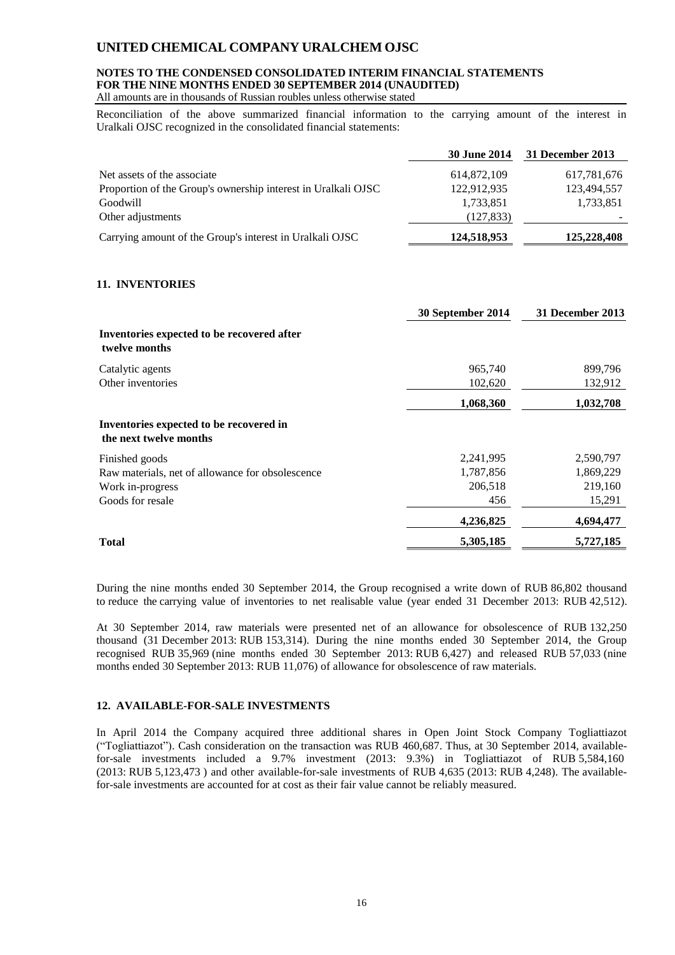### **NOTES TO THE CONDENSED CONSOLIDATED INTERIM FINANCIAL STATEMENTS FOR THE NINE MONTHS ENDED 30 SEPTEMBER 2014 (UNAUDITED)**

All amounts are in thousands of Russian roubles unless otherwise stated

Reconciliation of the above summarized financial information to the carrying amount of the interest in Uralkali OJSC recognized in the consolidated financial statements:

|                                                               | <b>30 June 2014</b> | 31 December 2013 |
|---------------------------------------------------------------|---------------------|------------------|
| Net assets of the associate                                   | 614,872,109         | 617,781,676      |
| Proportion of the Group's ownership interest in Uralkali OJSC | 122,912,935         | 123,494,557      |
| Goodwill                                                      | 1,733,851           | 1,733,851        |
| Other adjustments                                             | (127, 833)          |                  |
| Carrying amount of the Group's interest in Uralkali OJSC      | 124,518,953         | 125,228,408      |

### **11. INVENTORIES**

|                                                                   | 30 September 2014 | 31 December 2013 |
|-------------------------------------------------------------------|-------------------|------------------|
| Inventories expected to be recovered after<br>twelve months       |                   |                  |
| Catalytic agents                                                  | 965,740           | 899,796          |
| Other inventories                                                 | 102,620           | 132,912          |
|                                                                   | 1,068,360         | 1,032,708        |
| Inventories expected to be recovered in<br>the next twelve months |                   |                  |
| Finished goods                                                    | 2,241,995         | 2,590,797        |
| Raw materials, net of allowance for obsolescence                  | 1,787,856         | 1,869,229        |
| Work in-progress                                                  | 206,518           | 219,160          |
| Goods for resale                                                  | 456               | 15,291           |
|                                                                   | 4,236,825         | 4,694,477        |
| <b>Total</b>                                                      | 5,305,185         | 5,727,185        |

During the nine months ended 30 September 2014, the Group recognised a write down of RUB 86,802 thousand to reduce the carrying value of inventories to net realisable value (year ended 31 December 2013: RUB 42,512).

At 30 September 2014, raw materials were presented net of an allowance for obsolescence of RUB 132,250 thousand (31 December 2013: RUB 153,314). During the nine months ended 30 September 2014, the Group recognised RUB 35,969 (nine months ended 30 September 2013: RUB 6,427) and released RUB 57,033 (nine months ended 30 September 2013: RUB 11,076) of allowance for obsolescence of raw materials.

### **12. AVAILABLE-FOR-SALE INVESTMENTS**

In April 2014 the Company acquired three additional shares in Open Joint Stock Company Togliattiazot ("Togliattiazot"). Cash consideration on the transaction was RUB 460,687. Thus, at 30 September 2014, availablefor-sale investments included a 9.7% investment (2013: 9.3%) in Togliattiazot of RUB 5,584,160 (2013: RUB 5,123,473 ) and other available-for-sale investments of RUB 4,635 (2013: RUB 4,248). The availablefor-sale investments are accounted for at cost as their fair value cannot be reliably measured.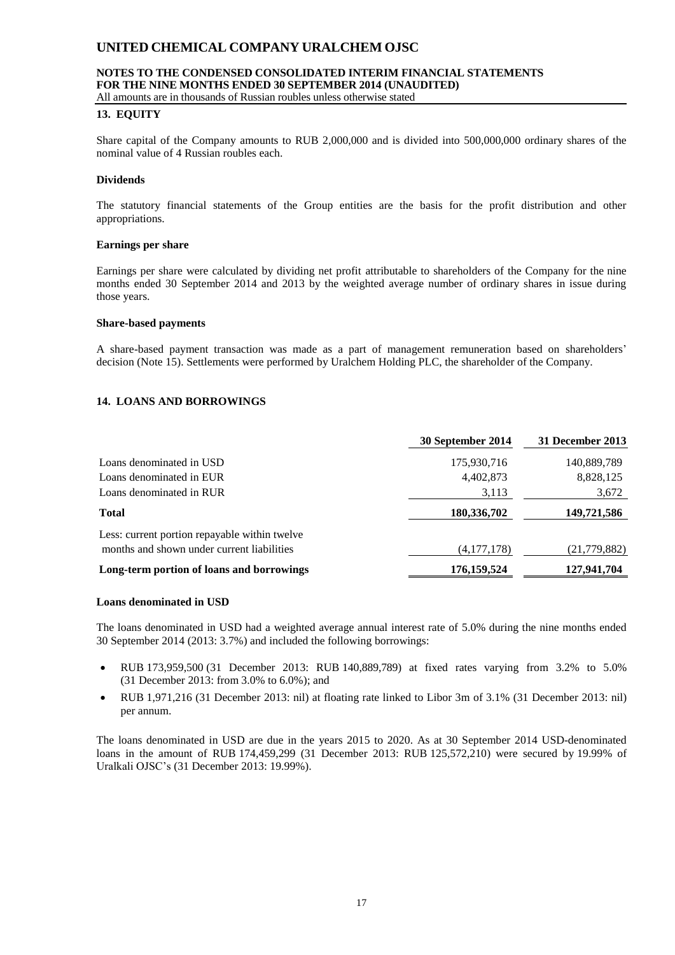### **NOTES TO THE CONDENSED CONSOLIDATED INTERIM FINANCIAL STATEMENTS FOR THE NINE MONTHS ENDED 30 SEPTEMBER 2014 (UNAUDITED)**

All amounts are in thousands of Russian roubles unless otherwise stated

### **13. EQUITY**

Share capital of the Company amounts to RUB 2,000,000 and is divided into 500,000,000 ordinary shares of the nominal value of 4 Russian roubles each.

### **Dividends**

The statutory financial statements of the Group entities are the basis for the profit distribution and other appropriations.

### **Earnings per share**

Earnings per share were calculated by dividing net profit attributable to shareholders of the Company for the nine months ended 30 September 2014 and 2013 by the weighted average number of ordinary shares in issue during those years.

### **Share-based payments**

A share-based payment transaction was made as a part of management remuneration based on shareholders' decision (Note 15). Settlements were performed by Uralchem Holding PLC, the shareholder of the Company.

### **14. LOANS AND BORROWINGS**

|                                               | 30 September 2014 | 31 December 2013 |
|-----------------------------------------------|-------------------|------------------|
| Loans denominated in USD                      | 175,930,716       | 140,889,789      |
| Loans denominated in EUR                      | 4,402,873         | 8,828,125        |
| Loans denominated in RUR                      | 3,113             | 3,672            |
| <b>Total</b>                                  | 180,336,702       | 149,721,586      |
| Less: current portion repayable within twelve |                   |                  |
| months and shown under current liabilities    | (4,177,178)       | (21,779,882)     |
| Long-term portion of loans and borrowings     | 176,159,524       | 127,941,704      |

### **Loans denominated in USD**

The loans denominated in USD had a weighted average annual interest rate of 5.0% during the nine months ended 30 September 2014 (2013: 3.7%) and included the following borrowings:

- RUB 173,959,500 (31 December 2013: RUB 140,889,789) at fixed rates varying from 3.2% to 5.0% (31 December 2013: from 3.0% to 6.0%); and
- RUB 1,971,216 (31 December 2013: nil) at floating rate linked to Libor 3m of 3.1% (31 December 2013: nil) per annum.

The loans denominated in USD are due in the years 2015 to 2020. As at 30 September 2014 USD-denominated loans in the amount of RUB 174,459,299 (31 December 2013: RUB 125,572,210) were secured by 19.99% of Uralkali OJSC's (31 December 2013: 19.99%).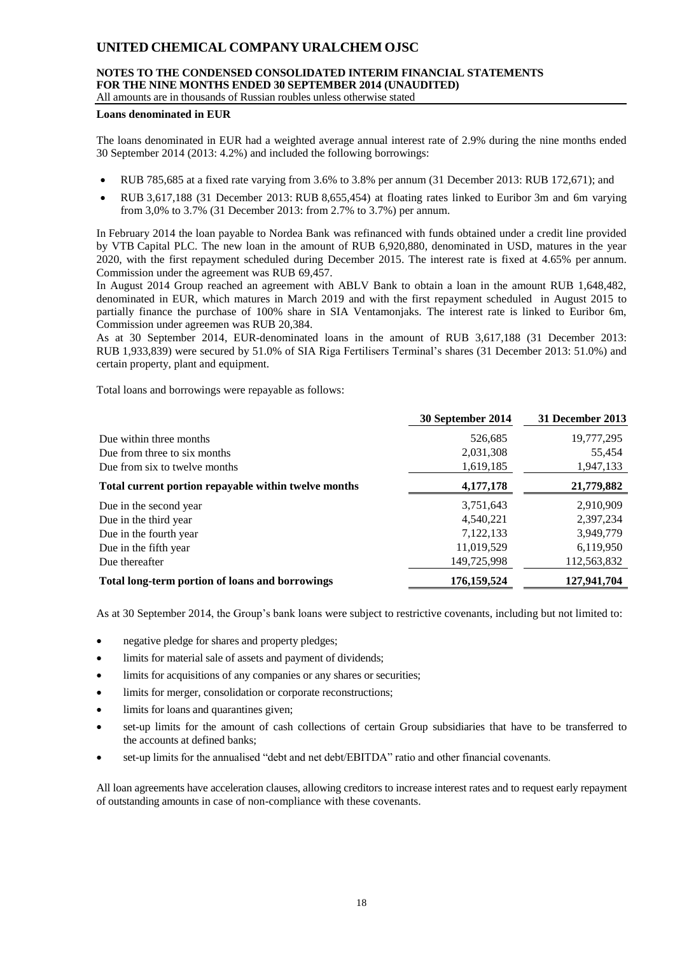## **NOTES TO THE CONDENSED CONSOLIDATED INTERIM FINANCIAL STATEMENTS FOR THE NINE MONTHS ENDED 30 SEPTEMBER 2014 (UNAUDITED)**

All amounts are in thousands of Russian roubles unless otherwise stated

#### **Loans denominated in EUR**

The loans denominated in EUR had a weighted average annual interest rate of 2.9% during the nine months ended 30 September 2014 (2013: 4.2%) and included the following borrowings:

- RUB 785,685 at a fixed rate varying from 3.6% to 3.8% per annum (31 December 2013: RUB 172,671); and
- RUB 3,617,188 (31 December 2013: RUB 8,655,454) at floating rates linked to Euribor 3m and 6m varying from 3,0% to 3.7% (31 December 2013: from 2.7% to 3.7%) per annum.

In February 2014 the loan payable to Nordea Bank was refinanced with funds obtained under a credit line provided by VTB Capital PLC. The new loan in the amount of RUB 6,920,880, denominated in USD, matures in the year 2020, with the first repayment scheduled during December 2015. The interest rate is fixed at 4.65% per annum. Commission under the agreement was RUB 69,457.

In August 2014 Group reached an agreement with ABLV Bank to obtain a loan in the amount RUB 1,648,482, denominated in EUR, which matures in March 2019 and with the first repayment scheduled in August 2015 to partially finance the purchase of 100% share in SIA Ventamonjaks. The interest rate is linked to Euribor 6m, Commission under agreemen was RUB 20,384.

As at 30 September 2014, EUR-denominated loans in the amount of RUB 3,617,188 (31 December 2013: RUB 1,933,839) were secured by 51.0% of SIA Riga Fertilisers Terminal's shares (31 December 2013: 51.0%) and certain property, plant and equipment.

Total loans and borrowings were repayable as follows:

|                                                      | 30 September 2014 | 31 December 2013 |
|------------------------------------------------------|-------------------|------------------|
| Due within three months                              | 526,685           | 19,777,295       |
| Due from three to six months                         | 2,031,308         | 55,454           |
| Due from six to twelve months                        | 1,619,185         | 1,947,133        |
| Total current portion repayable within twelve months | 4,177,178         | 21,779,882       |
| Due in the second year                               | 3,751,643         | 2,910,909        |
| Due in the third year                                | 4,540,221         | 2,397,234        |
| Due in the fourth year                               | 7,122,133         | 3,949,779        |
| Due in the fifth year                                | 11,019,529        | 6,119,950        |
| Due thereafter                                       | 149,725,998       | 112,563,832      |
| Total long-term portion of loans and borrowings      | 176, 159, 524     | 127,941,704      |

As at 30 September 2014, the Group's bank loans were subject to restrictive covenants, including but not limited to:

- negative pledge for shares and property pledges;
- limits for material sale of assets and payment of dividends;
- limits for acquisitions of any companies or any shares or securities;
- limits for merger, consolidation or corporate reconstructions;
- limits for loans and quarantines given;
- set-up limits for the amount of cash collections of certain Group subsidiaries that have to be transferred to the accounts at defined banks;
- set-up limits for the annualised "debt and net debt/EBITDA" ratio and other financial covenants.

All loan agreements have acceleration clauses, allowing creditors to increase interest rates and to request early repayment of outstanding amounts in case of non-compliance with these covenants.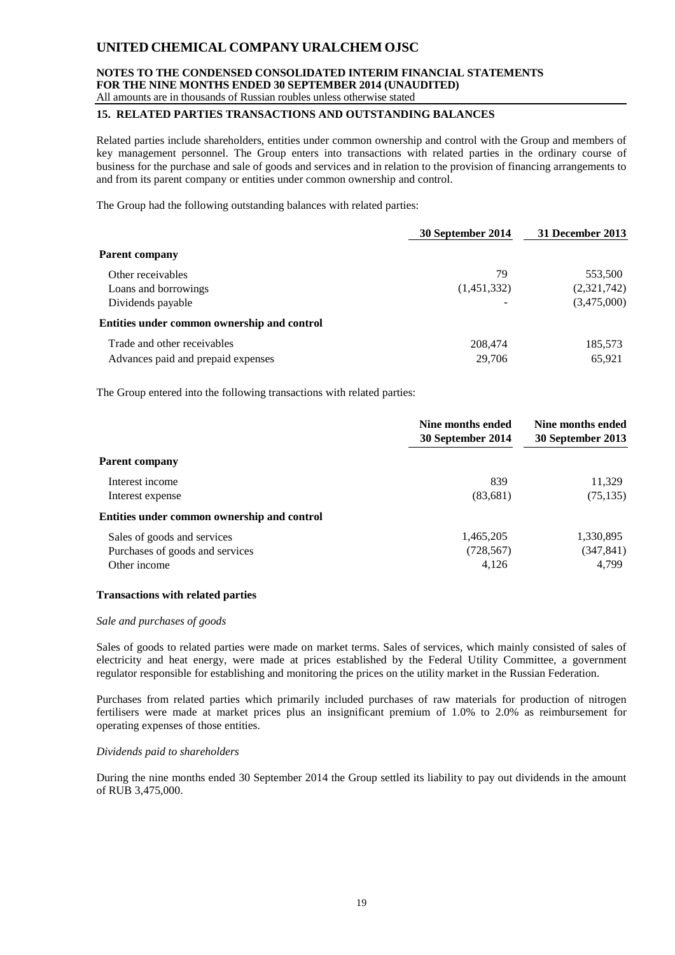#### **NOTES TO THE CONDENSED CONSOLIDATED INTERIM FINANCIAL STATEMENTS FOR THE NINE MONTHS ENDED 30 SEPTEMBER 2014 (UNAUDITED)** All amounts are in thousands of Russian roubles unless otherwise stated

### **15. RELATED PARTIES TRANSACTIONS AND OUTSTANDING BALANCES**

Related parties include shareholders, entities under common ownership and control with the Group and members of key management personnel. The Group enters into transactions with related parties in the ordinary course of business for the purchase and sale of goods and services and in relation to the provision of financing arrangements to and from its parent company or entities under common ownership and control.

The Group had the following outstanding balances with related parties:

|                                             | 30 September 2014 | 31 December 2013 |
|---------------------------------------------|-------------------|------------------|
| <b>Parent company</b>                       |                   |                  |
| Other receivables                           | 79                | 553,500          |
| Loans and borrowings                        | (1,451,332)       | (2,321,742)      |
| Dividends payable                           |                   | (3,475,000)      |
| Entities under common ownership and control |                   |                  |
| Trade and other receivables                 | 208,474           | 185,573          |
| Advances paid and prepaid expenses          | 29,706            | 65,921           |

The Group entered into the following transactions with related parties:

|                                             | Nine months ended<br>30 September 2014 | Nine months ended<br>30 September 2013 |
|---------------------------------------------|----------------------------------------|----------------------------------------|
| <b>Parent company</b>                       |                                        |                                        |
| Interest income                             | 839                                    | 11,329                                 |
| Interest expense                            | (83,681)                               | (75, 135)                              |
| Entities under common ownership and control |                                        |                                        |
| Sales of goods and services                 | 1,465,205                              | 1,330,895                              |
| Purchases of goods and services             | (728, 567)                             | (347, 841)                             |
| Other income                                | 4,126                                  | 4.799                                  |

### **Transactions with related parties**

#### *Sale and purchases of goods*

Sales of goods to related parties were made on market terms. Sales of services, which mainly consisted of sales of electricity and heat energy, were made at prices established by the Federal Utility Committee, a government regulator responsible for establishing and monitoring the prices on the utility market in the Russian Federation.

Purchases from related parties which primarily included purchases of raw materials for production of nitrogen fertilisers were made at market prices plus an insignificant premium of 1.0% to 2.0% as reimbursement for operating expenses of those entities.

#### *Dividends paid to shareholders*

During the nine months ended 30 September 2014 the Group settled its liability to pay out dividends in the amount of RUB 3,475,000.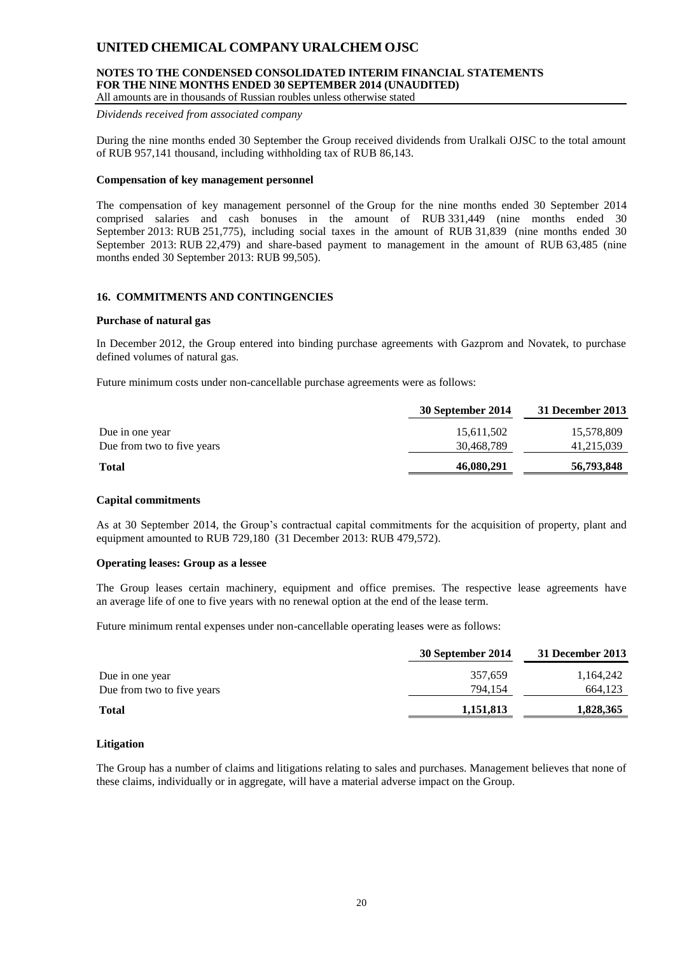## **NOTES TO THE CONDENSED CONSOLIDATED INTERIM FINANCIAL STATEMENTS FOR THE NINE MONTHS ENDED 30 SEPTEMBER 2014 (UNAUDITED)**

All amounts are in thousands of Russian roubles unless otherwise stated

*Dividends received from associated company*

During the nine months ended 30 September the Group received dividends from Uralkali OJSC to the total amount of RUB 957,141 thousand, including withholding tax of RUB 86,143.

### **Compensation of key management personnel**

The compensation of key management personnel of the Group for the nine months ended 30 September 2014 comprised salaries and cash bonuses in the amount of RUB 331,449 (nine months ended 30 September 2013: RUB 251,775), including social taxes in the amount of RUB 31,839 (nine months ended 30 September 2013: RUB 22,479) and share-based payment to management in the amount of RUB 63,485 (nine months ended 30 September 2013: RUB 99,505).

### **16. COMMITMENTS AND CONTINGENCIES**

#### **Purchase of natural gas**

In December 2012, the Group entered into binding purchase agreements with Gazprom and Novatek, to purchase defined volumes of natural gas.

Future minimum costs under non-cancellable purchase agreements were as follows:

|                            | 30 September 2014 | 31 December 2013 |
|----------------------------|-------------------|------------------|
| Due in one year            | 15,611,502        | 15,578,809       |
| Due from two to five years | 30,468,789        | 41,215,039       |
| <b>Total</b>               | 46,080,291        | 56,793,848       |

#### **Capital commitments**

As at 30 September 2014, the Group's contractual capital commitments for the acquisition of property, plant and equipment amounted to RUB 729,180 (31 December 2013: RUB 479,572).

### **Operating leases: Group as a lessee**

The Group leases certain machinery, equipment and office premises. The respective lease agreements have an average life of one to five years with no renewal option at the end of the lease term.

Future minimum rental expenses under non-cancellable operating leases were as follows:

|                            | 30 September 2014 | 31 December 2013 |
|----------------------------|-------------------|------------------|
| Due in one year            | 357,659           | 1,164,242        |
| Due from two to five years | 794.154           | 664,123          |
| <b>Total</b>               | 1,151,813         | 1,828,365        |

#### **Litigation**

The Group has a number of claims and litigations relating to sales and purchases. Management believes that none of these claims, individually or in aggregate, will have a material adverse impact on the Group.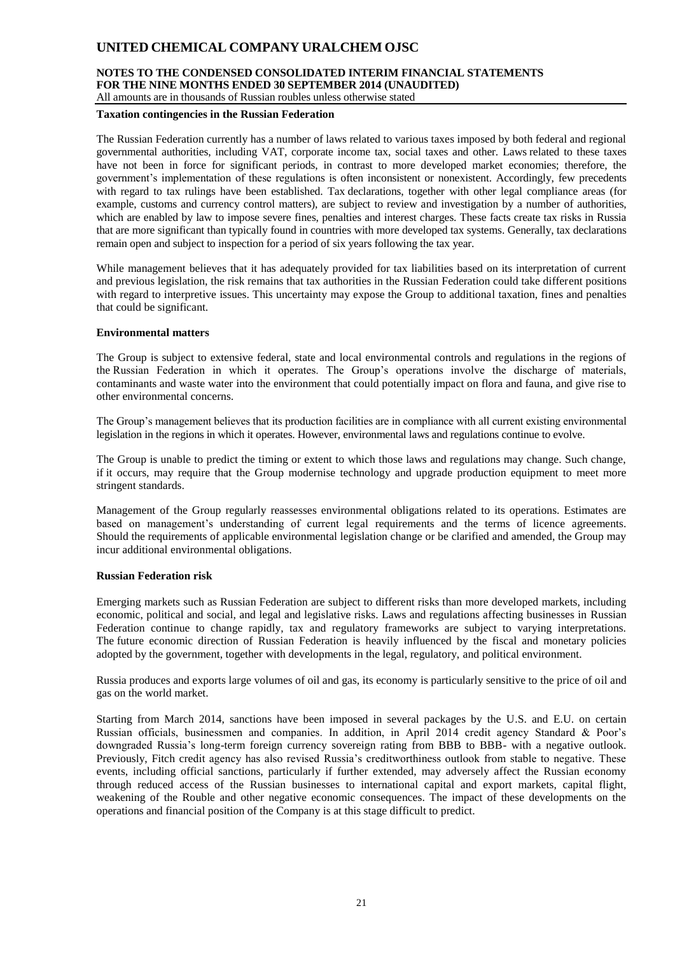#### **NOTES TO THE CONDENSED CONSOLIDATED INTERIM FINANCIAL STATEMENTS FOR THE NINE MONTHS ENDED 30 SEPTEMBER 2014 (UNAUDITED)** All amounts are in thousands of Russian roubles unless otherwise stated

#### **Taxation contingencies in the Russian Federation**

The Russian Federation currently has a number of laws related to various taxes imposed by both federal and regional governmental authorities, including VAT, corporate income tax, social taxes and other. Laws related to these taxes have not been in force for significant periods, in contrast to more developed market economies; therefore, the government's implementation of these regulations is often inconsistent or nonexistent. Accordingly, few precedents with regard to tax rulings have been established. Tax declarations, together with other legal compliance areas (for example, customs and currency control matters), are subject to review and investigation by a number of authorities, which are enabled by law to impose severe fines, penalties and interest charges. These facts create tax risks in Russia that are more significant than typically found in countries with more developed tax systems. Generally, tax declarations remain open and subject to inspection for a period of six years following the tax year.

While management believes that it has adequately provided for tax liabilities based on its interpretation of current and previous legislation, the risk remains that tax authorities in the Russian Federation could take different positions with regard to interpretive issues. This uncertainty may expose the Group to additional taxation, fines and penalties that could be significant.

#### **Environmental matters**

The Group is subject to extensive federal, state and local environmental controls and regulations in the regions of the Russian Federation in which it operates. The Group's operations involve the discharge of materials, contaminants and waste water into the environment that could potentially impact on flora and fauna, and give rise to other environmental concerns.

The Group's management believes that its production facilities are in compliance with all current existing environmental legislation in the regions in which it operates. However, environmental laws and regulations continue to evolve.

The Group is unable to predict the timing or extent to which those laws and regulations may change. Such change, if it occurs, may require that the Group modernise technology and upgrade production equipment to meet more stringent standards.

Management of the Group regularly reassesses environmental obligations related to its operations. Estimates are based on management's understanding of current legal requirements and the terms of licence agreements. Should the requirements of applicable environmental legislation change or be clarified and amended, the Group may incur additional environmental obligations.

#### **Russian Federation risk**

Emerging markets such as Russian Federation are subject to different risks than more developed markets, including economic, political and social, and legal and legislative risks. Laws and regulations affecting businesses in Russian Federation continue to change rapidly, tax and regulatory frameworks are subject to varying interpretations. The future economic direction of Russian Federation is heavily influenced by the fiscal and monetary policies adopted by the government, together with developments in the legal, regulatory, and political environment.

Russia produces and exports large volumes of oil and gas, its economy is particularly sensitive to the price of oil and gas on the world market.

Starting from March 2014, sanctions have been imposed in several packages by the U.S. and E.U. on certain Russian officials, businessmen and companies. In addition, in April 2014 credit agency Standard & Poor's downgraded Russia's long-term foreign currency sovereign rating from BBB to BBB- with a negative outlook. Previously, Fitch credit agency has also revised Russia's creditworthiness outlook from stable to negative. These events, including official sanctions, particularly if further extended, may adversely affect the Russian economy through reduced access of the Russian businesses to international capital and export markets, capital flight, weakening of the Rouble and other negative economic consequences. The impact of these developments on the operations and financial position of the Company is at this stage difficult to predict.